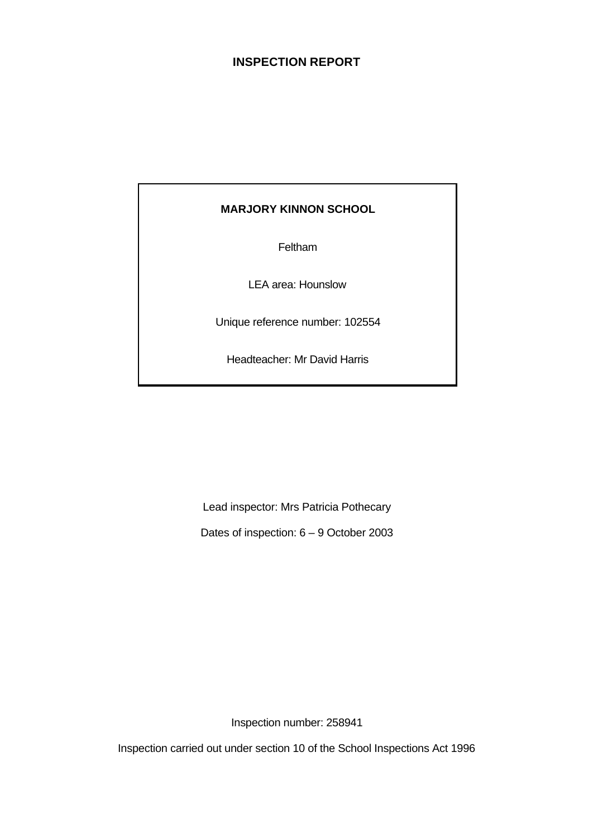# **INSPECTION REPORT**

# **MARJORY KINNON SCHOOL**

Feltham

LEA area: Hounslow

Unique reference number: 102554

Headteacher: Mr David Harris

Lead inspector: Mrs Patricia Pothecary

Dates of inspection: 6 – 9 October 2003

Inspection number: 258941

Inspection carried out under section 10 of the School Inspections Act 1996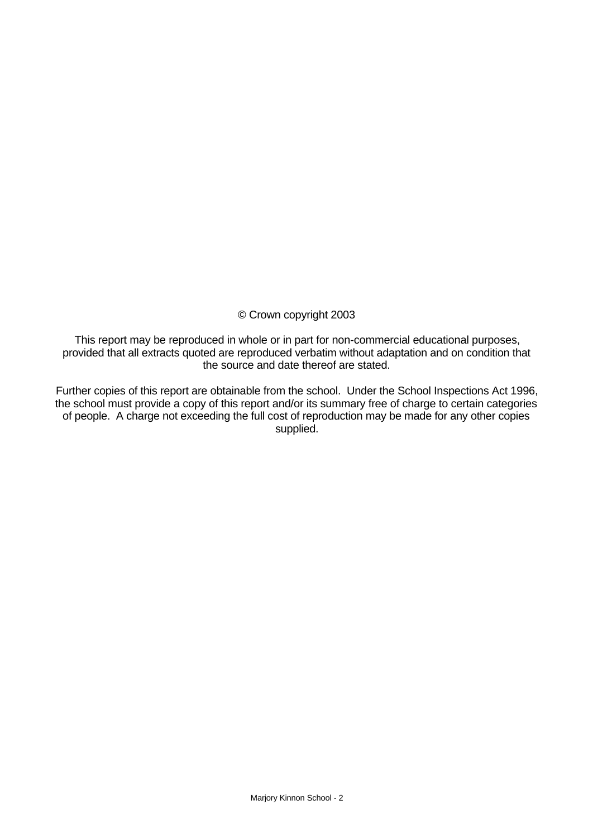# © Crown copyright 2003

This report may be reproduced in whole or in part for non-commercial educational purposes, provided that all extracts quoted are reproduced verbatim without adaptation and on condition that the source and date thereof are stated.

Further copies of this report are obtainable from the school. Under the School Inspections Act 1996, the school must provide a copy of this report and/or its summary free of charge to certain categories of people. A charge not exceeding the full cost of reproduction may be made for any other copies supplied.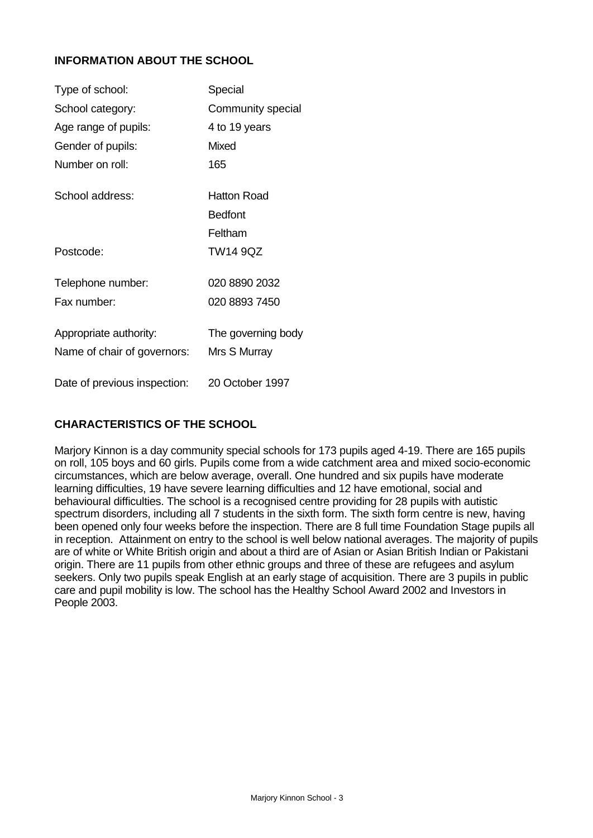# **INFORMATION ABOUT THE SCHOOL**

| Type of school:              | Special            |
|------------------------------|--------------------|
| School category:             | Community special  |
| Age range of pupils:         | 4 to 19 years      |
| Gender of pupils:            | <b>Mixed</b>       |
| Number on roll:              | 165                |
| School address:              | <b>Hatton Road</b> |
|                              | <b>Bedfont</b>     |
|                              | Feltham            |
| Postcode:                    | <b>TW14 9QZ</b>    |
| Telephone number:            | 020 8890 2032      |
| Fax number:                  | 020 8893 7450      |
| Appropriate authority:       | The governing body |
| Name of chair of governors:  | Mrs S Murray       |
| Date of previous inspection: | 20 October 1997    |

# **CHARACTERISTICS OF THE SCHOOL**

Marjory Kinnon is a day community special schools for 173 pupils aged 4-19. There are 165 pupils on roll, 105 boys and 60 girls. Pupils come from a wide catchment area and mixed socio-economic circumstances, which are below average, overall. One hundred and six pupils have moderate learning difficulties, 19 have severe learning difficulties and 12 have emotional, social and behavioural difficulties. The school is a recognised centre providing for 28 pupils with autistic spectrum disorders, including all 7 students in the sixth form. The sixth form centre is new, having been opened only four weeks before the inspection. There are 8 full time Foundation Stage pupils all in reception. Attainment on entry to the school is well below national averages. The majority of pupils are of white or White British origin and about a third are of Asian or Asian British Indian or Pakistani origin. There are 11 pupils from other ethnic groups and three of these are refugees and asylum seekers. Only two pupils speak English at an early stage of acquisition. There are 3 pupils in public care and pupil mobility is low. The school has the Healthy School Award 2002 and Investors in People 2003.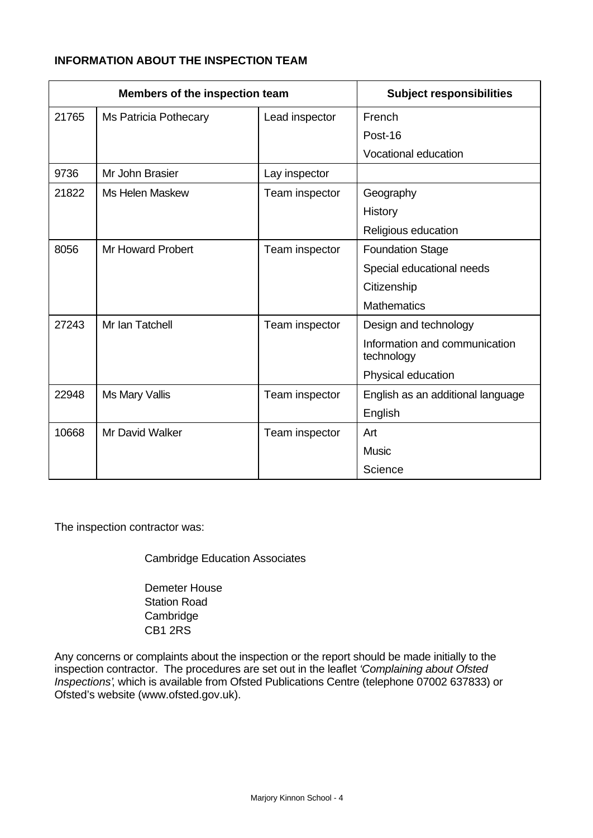# **INFORMATION ABOUT THE INSPECTION TEAM**

| Members of the inspection team |                              | <b>Subject responsibilities</b> |                                             |
|--------------------------------|------------------------------|---------------------------------|---------------------------------------------|
| 21765                          | <b>Ms Patricia Pothecary</b> | Lead inspector                  | French                                      |
|                                |                              |                                 | Post-16                                     |
|                                |                              |                                 | Vocational education                        |
| 9736                           | Mr John Brasier              | Lay inspector                   |                                             |
| 21822                          | Ms Helen Maskew              | Team inspector                  | Geography                                   |
|                                |                              |                                 | History                                     |
|                                |                              |                                 | Religious education                         |
| 8056                           | <b>Mr Howard Probert</b>     | Team inspector                  | <b>Foundation Stage</b>                     |
|                                |                              |                                 | Special educational needs                   |
|                                |                              |                                 | Citizenship                                 |
|                                |                              |                                 | <b>Mathematics</b>                          |
| 27243                          | Mr Ian Tatchell              | Team inspector                  | Design and technology                       |
|                                |                              |                                 | Information and communication<br>technology |
|                                |                              |                                 | Physical education                          |
| 22948                          | Ms Mary Vallis               | Team inspector                  | English as an additional language           |
|                                |                              |                                 | English                                     |
| 10668                          | <b>Mr David Walker</b>       | Team inspector                  | Art                                         |
|                                |                              |                                 | <b>Music</b>                                |
|                                |                              |                                 | Science                                     |

The inspection contractor was:

Cambridge Education Associates

Demeter House Station Road **Cambridge** CB1 2RS

Any concerns or complaints about the inspection or the report should be made initially to the inspection contractor. The procedures are set out in the leaflet *'Complaining about Ofsted Inspections'*, which is available from Ofsted Publications Centre (telephone 07002 637833) or Ofsted's website (www.ofsted.gov.uk).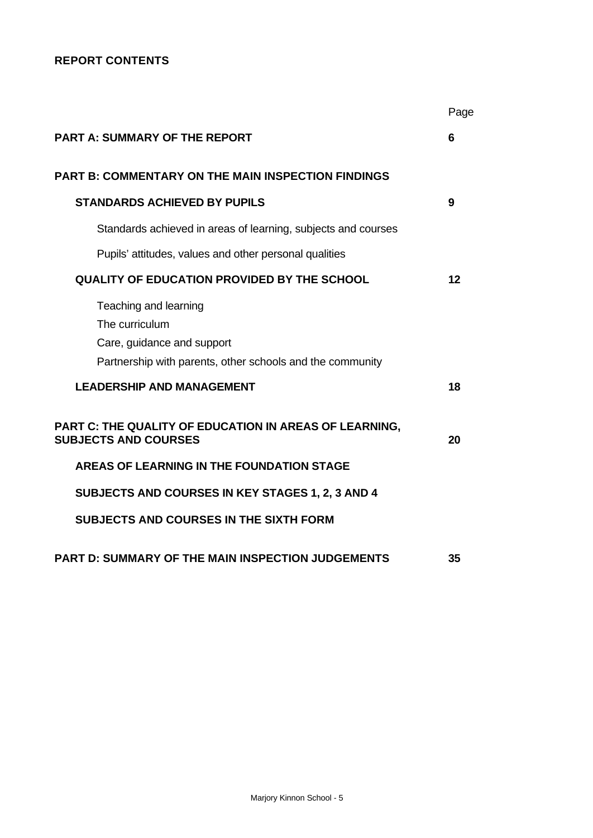# **REPORT CONTENTS**

|                                                                                                                                    | Page |
|------------------------------------------------------------------------------------------------------------------------------------|------|
| <b>PART A: SUMMARY OF THE REPORT</b>                                                                                               | 6    |
| <b>PART B: COMMENTARY ON THE MAIN INSPECTION FINDINGS</b>                                                                          |      |
| <b>STANDARDS ACHIEVED BY PUPILS</b>                                                                                                | 9    |
| Standards achieved in areas of learning, subjects and courses                                                                      |      |
| Pupils' attitudes, values and other personal qualities                                                                             |      |
| <b>QUALITY OF EDUCATION PROVIDED BY THE SCHOOL</b>                                                                                 | 12   |
| Teaching and learning<br>The curriculum<br>Care, guidance and support<br>Partnership with parents, other schools and the community |      |
| <b>LEADERSHIP AND MANAGEMENT</b>                                                                                                   | 18   |
| PART C: THE QUALITY OF EDUCATION IN AREAS OF LEARNING,<br><b>SUBJECTS AND COURSES</b>                                              | 20   |
| AREAS OF LEARNING IN THE FOUNDATION STAGE                                                                                          |      |
| SUBJECTS AND COURSES IN KEY STAGES 1, 2, 3 AND 4                                                                                   |      |
| <b>SUBJECTS AND COURSES IN THE SIXTH FORM</b>                                                                                      |      |
| PART D: SUMMARY OF THE MAIN INSPECTION JUDGEMENTS                                                                                  | 35   |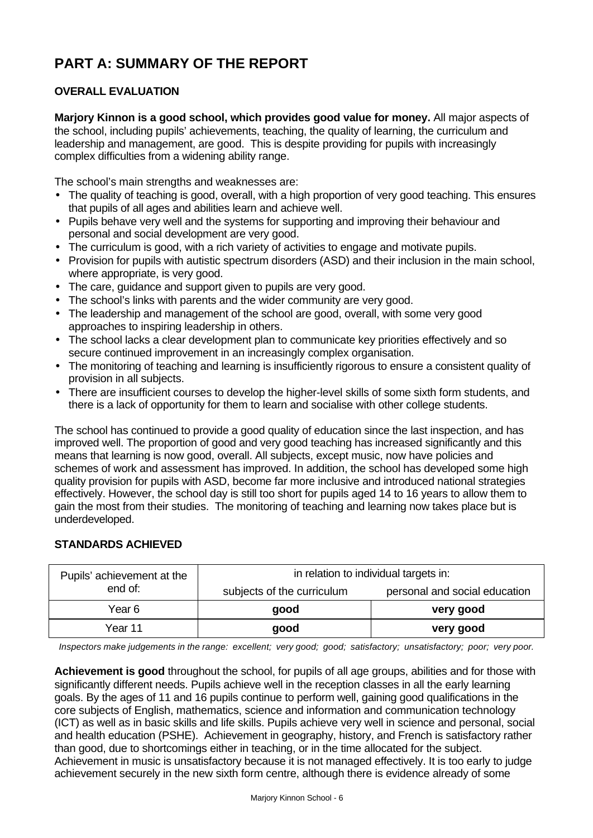# **PART A: SUMMARY OF THE REPORT**

# **OVERALL EVALUATION**

**Marjory Kinnon is a good school, which provides good value for money.** All major aspects of the school, including pupils' achievements, teaching, the quality of learning, the curriculum and leadership and management, are good. This is despite providing for pupils with increasingly complex difficulties from a widening ability range.

The school's main strengths and weaknesses are:

- The quality of teaching is good, overall, with a high proportion of very good teaching. This ensures that pupils of all ages and abilities learn and achieve well.
- Pupils behave very well and the systems for supporting and improving their behaviour and personal and social development are very good.
- The curriculum is good, with a rich variety of activities to engage and motivate pupils.
- Provision for pupils with autistic spectrum disorders (ASD) and their inclusion in the main school, where appropriate, is very good.
- The care, guidance and support given to pupils are very good.
- The school's links with parents and the wider community are very good.
- The leadership and management of the school are good, overall, with some very good approaches to inspiring leadership in others.
- The school lacks a clear development plan to communicate key priorities effectively and so secure continued improvement in an increasingly complex organisation.
- The monitoring of teaching and learning is insufficiently rigorous to ensure a consistent quality of provision in all subjects.
- There are insufficient courses to develop the higher-level skills of some sixth form students, and there is a lack of opportunity for them to learn and socialise with other college students.

The school has continued to provide a good quality of education since the last inspection, and has improved well. The proportion of good and very good teaching has increased significantly and this means that learning is now good, overall. All subjects, except music, now have policies and schemes of work and assessment has improved. In addition, the school has developed some high quality provision for pupils with ASD, become far more inclusive and introduced national strategies effectively. However, the school day is still too short for pupils aged 14 to 16 years to allow them to gain the most from their studies. The monitoring of teaching and learning now takes place but is underdeveloped.

# **STANDARDS ACHIEVED**

| Pupils' achievement at the | in relation to individual targets in: |                               |  |
|----------------------------|---------------------------------------|-------------------------------|--|
| end of:                    | subjects of the curriculum            | personal and social education |  |
| Year 6                     | good                                  | very good                     |  |
| Year 11                    | good                                  | very good                     |  |

*Inspectors make judgements in the range: excellent; very good; good; satisfactory; unsatisfactory; poor; very poor.*

**Achievement is good** throughout the school, for pupils of all age groups, abilities and for those with significantly different needs. Pupils achieve well in the reception classes in all the early learning goals. By the ages of 11 and 16 pupils continue to perform well, gaining good qualifications in the core subjects of English, mathematics, science and information and communication technology (ICT) as well as in basic skills and life skills. Pupils achieve very well in science and personal, social and health education (PSHE). Achievement in geography, history, and French is satisfactory rather than good, due to shortcomings either in teaching, or in the time allocated for the subject. Achievement in music is unsatisfactory because it is not managed effectively. It is too early to judge achievement securely in the new sixth form centre, although there is evidence already of some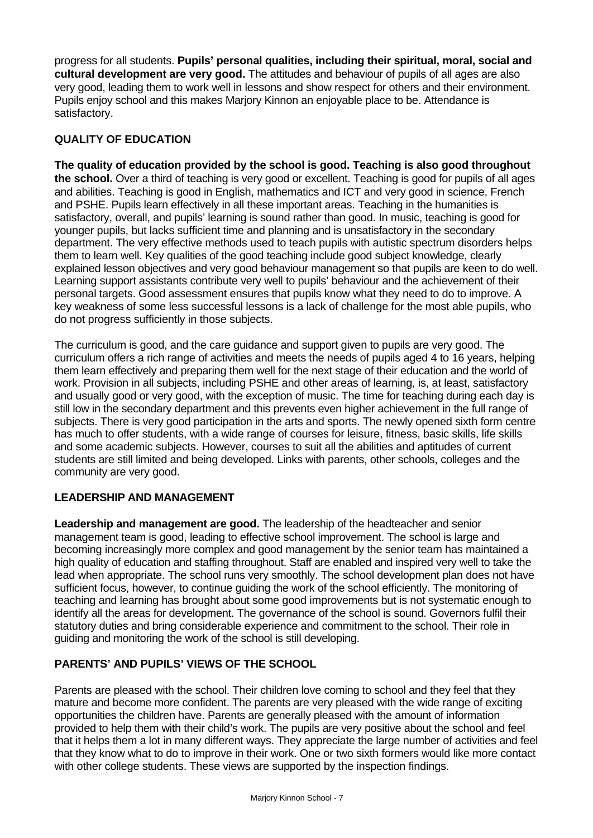progress for all students. **Pupils' personal qualities, including their spiritual, moral, social and cultural development are very good.** The attitudes and behaviour of pupils of all ages are also very good, leading them to work well in lessons and show respect for others and their environment. Pupils enjoy school and this makes Marjory Kinnon an enjoyable place to be. Attendance is satisfactory.

# **QUALITY OF EDUCATION**

**The quality of education provided by the school is good. Teaching is also good throughout the school.** Over a third of teaching is very good or excellent. Teaching is good for pupils of all ages and abilities. Teaching is good in English, mathematics and ICT and very good in science, French and PSHE. Pupils learn effectively in all these important areas. Teaching in the humanities is satisfactory, overall, and pupils' learning is sound rather than good. In music, teaching is good for younger pupils, but lacks sufficient time and planning and is unsatisfactory in the secondary department. The very effective methods used to teach pupils with autistic spectrum disorders helps them to learn well. Key qualities of the good teaching include good subject knowledge, clearly explained lesson objectives and very good behaviour management so that pupils are keen to do well. Learning support assistants contribute very well to pupils' behaviour and the achievement of their personal targets. Good assessment ensures that pupils know what they need to do to improve. A key weakness of some less successful lessons is a lack of challenge for the most able pupils, who do not progress sufficiently in those subjects.

The curriculum is good, and the care guidance and support given to pupils are very good. The curriculum offers a rich range of activities and meets the needs of pupils aged 4 to 16 years, helping them learn effectively and preparing them well for the next stage of their education and the world of work. Provision in all subjects, including PSHE and other areas of learning, is, at least, satisfactory and usually good or very good, with the exception of music. The time for teaching during each day is still low in the secondary department and this prevents even higher achievement in the full range of subjects. There is very good participation in the arts and sports. The newly opened sixth form centre has much to offer students, with a wide range of courses for leisure, fitness, basic skills, life skills and some academic subjects. However, courses to suit all the abilities and aptitudes of current students are still limited and being developed. Links with parents, other schools, colleges and the community are very good.

# **LEADERSHIP AND MANAGEMENT**

**Leadership and management are good.** The leadership of the headteacher and senior management team is good, leading to effective school improvement. The school is large and becoming increasingly more complex and good management by the senior team has maintained a high quality of education and staffing throughout. Staff are enabled and inspired very well to take the lead when appropriate. The school runs very smoothly. The school development plan does not have sufficient focus, however, to continue guiding the work of the school efficiently. The monitoring of teaching and learning has brought about some good improvements but is not systematic enough to identify all the areas for development. The governance of the school is sound. Governors fulfil their statutory duties and bring considerable experience and commitment to the school. Their role in guiding and monitoring the work of the school is still developing.

# **PARENTS' AND PUPILS' VIEWS OF THE SCHOOL**

Parents are pleased with the school. Their children love coming to school and they feel that they mature and become more confident. The parents are very pleased with the wide range of exciting opportunities the children have. Parents are generally pleased with the amount of information provided to help them with their child's work. The pupils are very positive about the school and feel that it helps them a lot in many different ways. They appreciate the large number of activities and feel that they know what to do to improve in their work. One or two sixth formers would like more contact with other college students. These views are supported by the inspection findings.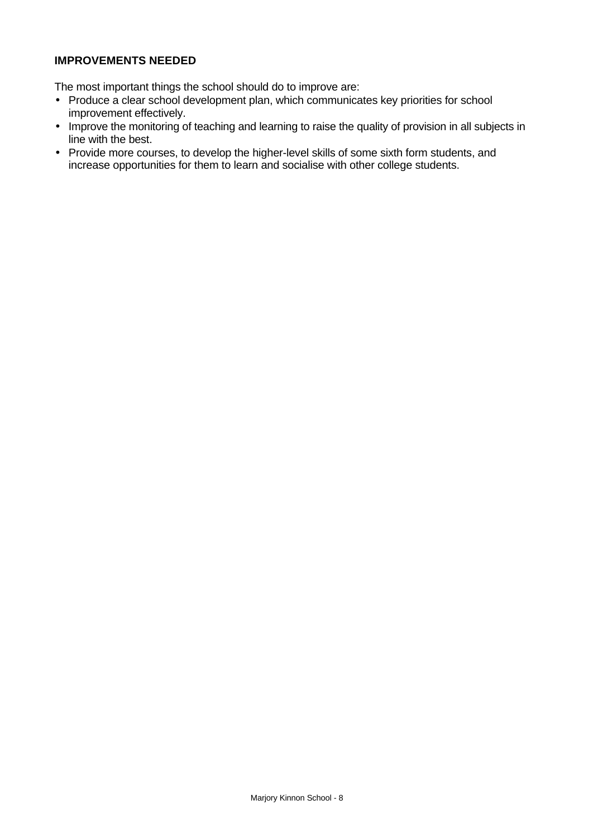# **IMPROVEMENTS NEEDED**

The most important things the school should do to improve are:

- Produce a clear school development plan, which communicates key priorities for school improvement effectively.
- Improve the monitoring of teaching and learning to raise the quality of provision in all subjects in line with the best.
- Provide more courses, to develop the higher-level skills of some sixth form students, and increase opportunities for them to learn and socialise with other college students.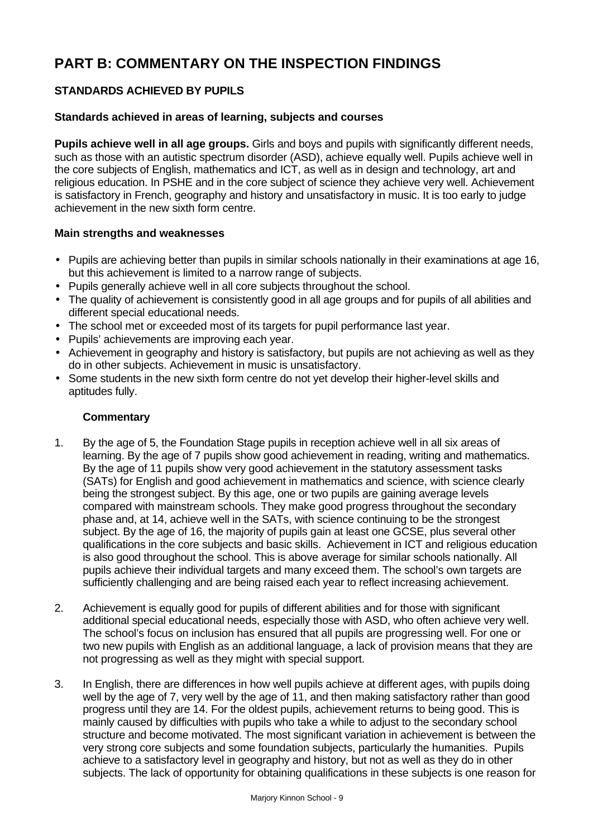# **PART B: COMMENTARY ON THE INSPECTION FINDINGS**

# **STANDARDS ACHIEVED BY PUPILS**

# **Standards achieved in areas of learning, subjects and courses**

**Pupils achieve well in all age groups.** Girls and boys and pupils with significantly different needs, such as those with an autistic spectrum disorder (ASD), achieve equally well. Pupils achieve well in the core subjects of English, mathematics and ICT, as well as in design and technology, art and religious education. In PSHE and in the core subject of science they achieve very well. Achievement is satisfactory in French, geography and history and unsatisfactory in music. It is too early to judge achievement in the new sixth form centre.

#### **Main strengths and weaknesses**

- Pupils are achieving better than pupils in similar schools nationally in their examinations at age 16, but this achievement is limited to a narrow range of subjects.
- Pupils generally achieve well in all core subjects throughout the school.
- The quality of achievement is consistently good in all age groups and for pupils of all abilities and different special educational needs.
- The school met or exceeded most of its targets for pupil performance last year.
- Pupils' achievements are improving each year.
- Achievement in geography and history is satisfactory, but pupils are not achieving as well as they do in other subjects. Achievement in music is unsatisfactory.
- Some students in the new sixth form centre do not yet develop their higher-level skills and aptitudes fully.

- 1. By the age of 5, the Foundation Stage pupils in reception achieve well in all six areas of learning. By the age of 7 pupils show good achievement in reading, writing and mathematics. By the age of 11 pupils show very good achievement in the statutory assessment tasks (SATs) for English and good achievement in mathematics and science, with science clearly being the strongest subject. By this age, one or two pupils are gaining average levels compared with mainstream schools. They make good progress throughout the secondary phase and, at 14, achieve well in the SATs, with science continuing to be the strongest subject. By the age of 16, the majority of pupils gain at least one GCSE, plus several other qualifications in the core subjects and basic skills. Achievement in ICT and religious education is also good throughout the school. This is above average for similar schools nationally. All pupils achieve their individual targets and many exceed them. The school's own targets are sufficiently challenging and are being raised each year to reflect increasing achievement.
- 2. Achievement is equally good for pupils of different abilities and for those with significant additional special educational needs, especially those with ASD, who often achieve very well. The school's focus on inclusion has ensured that all pupils are progressing well. For one or two new pupils with English as an additional language, a lack of provision means that they are not progressing as well as they might with special support.
- 3. In English, there are differences in how well pupils achieve at different ages, with pupils doing well by the age of 7, very well by the age of 11, and then making satisfactory rather than good progress until they are 14. For the oldest pupils, achievement returns to being good. This is mainly caused by difficulties with pupils who take a while to adjust to the secondary school structure and become motivated. The most significant variation in achievement is between the very strong core subjects and some foundation subjects, particularly the humanities. Pupils achieve to a satisfactory level in geography and history, but not as well as they do in other subjects. The lack of opportunity for obtaining qualifications in these subjects is one reason for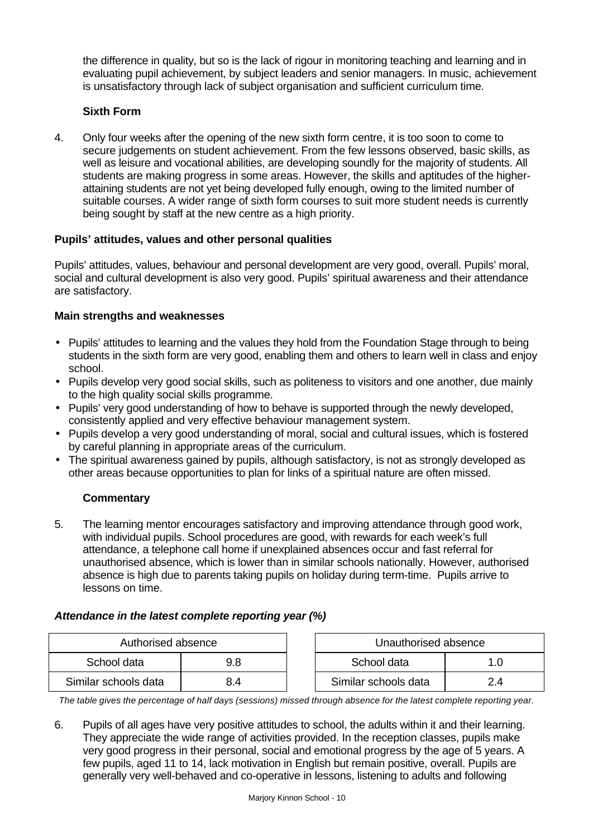the difference in quality, but so is the lack of rigour in monitoring teaching and learning and in evaluating pupil achievement, by subject leaders and senior managers. In music, achievement is unsatisfactory through lack of subject organisation and sufficient curriculum time.

# **Sixth Form**

4. Only four weeks after the opening of the new sixth form centre, it is too soon to come to secure judgements on student achievement. From the few lessons observed, basic skills, as well as leisure and vocational abilities, are developing soundly for the majority of students. All students are making progress in some areas. However, the skills and aptitudes of the higherattaining students are not yet being developed fully enough, owing to the limited number of suitable courses. A wider range of sixth form courses to suit more student needs is currently being sought by staff at the new centre as a high priority.

# **Pupils' attitudes, values and other personal qualities**

Pupils' attitudes, values, behaviour and personal development are very good, overall. Pupils' moral, social and cultural development is also very good. Pupils' spiritual awareness and their attendance are satisfactory.

# **Main strengths and weaknesses**

- Pupils' attitudes to learning and the values they hold from the Foundation Stage through to being students in the sixth form are very good, enabling them and others to learn well in class and enjoy school.
- Pupils develop very good social skills, such as politeness to visitors and one another, due mainly to the high quality social skills programme.
- Pupils' very good understanding of how to behave is supported through the newly developed, consistently applied and very effective behaviour management system.
- Pupils develop a very good understanding of moral, social and cultural issues, which is fostered by careful planning in appropriate areas of the curriculum.
- The spiritual awareness gained by pupils, although satisfactory, is not as strongly developed as other areas because opportunities to plan for links of a spiritual nature are often missed.

# **Commentary**

5. The learning mentor encourages satisfactory and improving attendance through good work, with individual pupils. School procedures are good, with rewards for each week's full attendance, a telephone call home if unexplained absences occur and fast referral for unauthorised absence, which is lower than in similar schools nationally. However, authorised absence is high due to parents taking pupils on holiday during term-time. Pupils arrive to lessons on time.

# *Attendance in the latest complete reporting year (%)*

| Authorised absence   |     | Unauthorised absence |     |
|----------------------|-----|----------------------|-----|
| School data          | 9.8 | School data          |     |
| Similar schools data | 8.4 | Similar schools data | 2.4 |

*The table gives the percentage of half days (sessions) missed through absence for the latest complete reporting year.*

6. Pupils of all ages have very positive attitudes to school, the adults within it and their learning. They appreciate the wide range of activities provided. In the reception classes, pupils make very good progress in their personal, social and emotional progress by the age of 5 years. A few pupils, aged 11 to 14, lack motivation in English but remain positive, overall. Pupils are generally very well-behaved and co-operative in lessons, listening to adults and following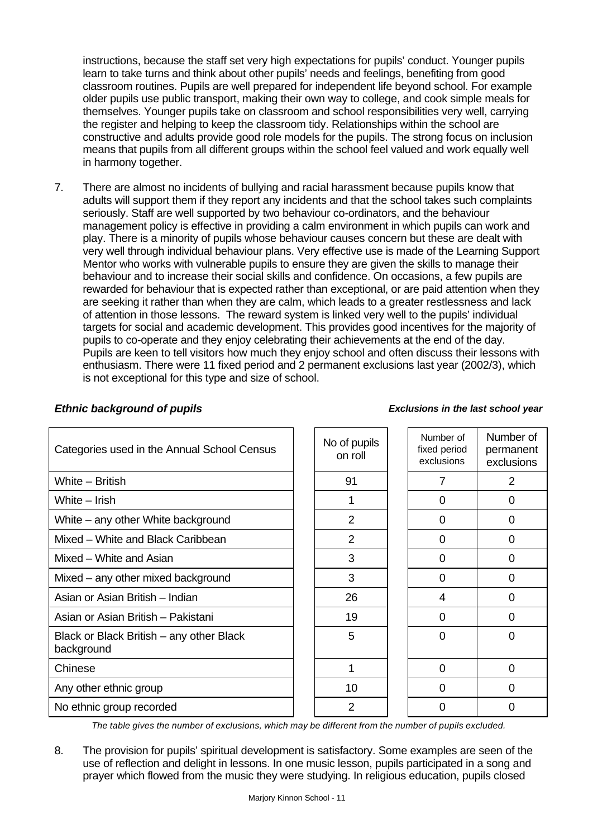instructions, because the staff set very high expectations for pupils' conduct. Younger pupils learn to take turns and think about other pupils' needs and feelings, benefiting from good classroom routines. Pupils are well prepared for independent life beyond school. For example older pupils use public transport, making their own way to college, and cook simple meals for themselves. Younger pupils take on classroom and school responsibilities very well, carrying the register and helping to keep the classroom tidy. Relationships within the school are constructive and adults provide good role models for the pupils. The strong focus on inclusion means that pupils from all different groups within the school feel valued and work equally well in harmony together.

7. There are almost no incidents of bullying and racial harassment because pupils know that adults will support them if they report any incidents and that the school takes such complaints seriously. Staff are well supported by two behaviour co-ordinators, and the behaviour management policy is effective in providing a calm environment in which pupils can work and play. There is a minority of pupils whose behaviour causes concern but these are dealt with very well through individual behaviour plans. Very effective use is made of the Learning Support Mentor who works with vulnerable pupils to ensure they are given the skills to manage their behaviour and to increase their social skills and confidence. On occasions, a few pupils are rewarded for behaviour that is expected rather than exceptional, or are paid attention when they are seeking it rather than when they are calm, which leads to a greater restlessness and lack of attention in those lessons. The reward system is linked very well to the pupils' individual targets for social and academic development. This provides good incentives for the majority of pupils to co-operate and they enjoy celebrating their achievements at the end of the day. Pupils are keen to tell visitors how much they enjoy school and often discuss their lessons with enthusiasm. There were 11 fixed period and 2 permanent exclusions last year (2002/3), which is not exceptional for this type and size of school.

| Categories used in the Annual School Census            | No of pupils<br>on roll | Number of<br>fixed period<br>exclusions | Numb<br>perma<br>exclus |
|--------------------------------------------------------|-------------------------|-----------------------------------------|-------------------------|
| White - British                                        | 91                      | 7                                       | $\overline{2}$          |
| White $-$ Irish                                        |                         | 0                                       | 0                       |
| White – any other White background                     | 2                       | 0                                       | 0                       |
| Mixed - White and Black Caribbean                      | $\overline{2}$          | $\Omega$                                | 0                       |
| Mixed - White and Asian                                | 3                       | 0                                       | 0                       |
| Mixed – any other mixed background                     | 3                       | 0                                       | 0                       |
| Asian or Asian British - Indian                        | 26                      | 4                                       | 0                       |
| Asian or Asian British - Pakistani                     | 19                      | 0                                       | 0                       |
| Black or Black British – any other Black<br>background | 5                       | 0                                       | $\overline{0}$          |
| Chinese                                                | 1                       | $\Omega$                                | $\overline{0}$          |
| Any other ethnic group                                 | 10                      | $\Omega$                                | 0                       |
| No ethnic group recorded                               | $\overline{2}$          | 0                                       | 0                       |

# *Ethnic background of pupils Exclusions in the last school year*

| lo of pupils<br>on roll | Number of<br>fixed period<br>exclusions | Number of<br>permanent<br>exclusions |
|-------------------------|-----------------------------------------|--------------------------------------|
| 91                      | 7                                       | 2                                    |
| 1                       | 0                                       | 0                                    |
| $\overline{2}$          | 0                                       | 0                                    |
| $\overline{2}$          | 0                                       | 0                                    |
| 3                       | 0                                       | 0                                    |
| 3                       | 0                                       | 0                                    |
| 26                      | 4                                       | 0                                    |
| 19                      | 0                                       | 0                                    |
| 5                       | 0                                       | 0                                    |
| 1                       | 0                                       | 0                                    |
| 10                      | 0                                       | 0                                    |
| $\overline{2}$          | ი                                       | ი                                    |

*The table gives the number of exclusions, which may be different from the number of pupils excluded.*

8. The provision for pupils' spiritual development is satisfactory. Some examples are seen of the use of reflection and delight in lessons. In one music lesson, pupils participated in a song and prayer which flowed from the music they were studying. In religious education, pupils closed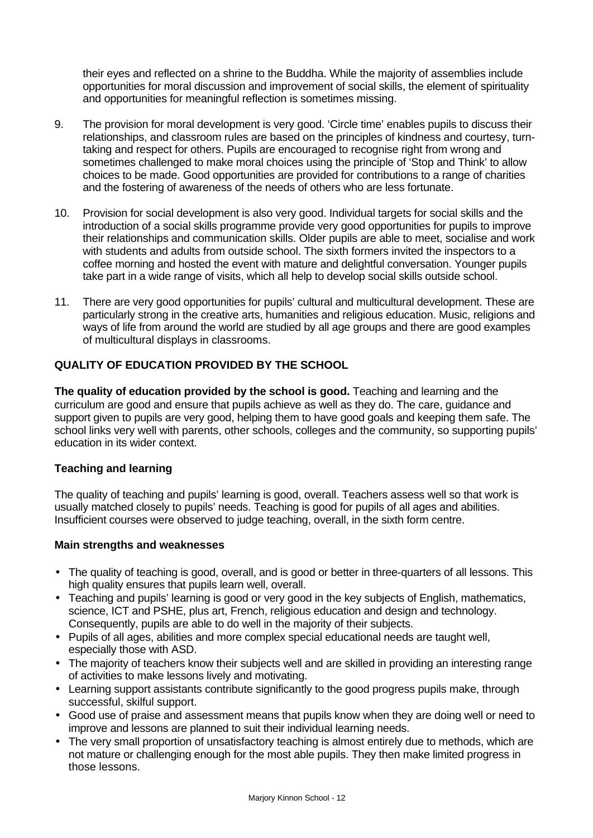their eyes and reflected on a shrine to the Buddha. While the majority of assemblies include opportunities for moral discussion and improvement of social skills, the element of spirituality and opportunities for meaningful reflection is sometimes missing.

- 9. The provision for moral development is very good. 'Circle time' enables pupils to discuss their relationships, and classroom rules are based on the principles of kindness and courtesy, turntaking and respect for others. Pupils are encouraged to recognise right from wrong and sometimes challenged to make moral choices using the principle of 'Stop and Think' to allow choices to be made. Good opportunities are provided for contributions to a range of charities and the fostering of awareness of the needs of others who are less fortunate.
- 10. Provision for social development is also very good. Individual targets for social skills and the introduction of a social skills programme provide very good opportunities for pupils to improve their relationships and communication skills. Older pupils are able to meet, socialise and work with students and adults from outside school. The sixth formers invited the inspectors to a coffee morning and hosted the event with mature and delightful conversation. Younger pupils take part in a wide range of visits, which all help to develop social skills outside school.
- 11. There are very good opportunities for pupils' cultural and multicultural development. These are particularly strong in the creative arts, humanities and religious education. Music, religions and ways of life from around the world are studied by all age groups and there are good examples of multicultural displays in classrooms.

# **QUALITY OF EDUCATION PROVIDED BY THE SCHOOL**

**The quality of education provided by the school is good.** Teaching and learning and the curriculum are good and ensure that pupils achieve as well as they do. The care, guidance and support given to pupils are very good, helping them to have good goals and keeping them safe. The school links very well with parents, other schools, colleges and the community, so supporting pupils' education in its wider context.

#### **Teaching and learning**

The quality of teaching and pupils' learning is good, overall. Teachers assess well so that work is usually matched closely to pupils' needs. Teaching is good for pupils of all ages and abilities. Insufficient courses were observed to judge teaching, overall, in the sixth form centre.

#### **Main strengths and weaknesses**

- The quality of teaching is good, overall, and is good or better in three-quarters of all lessons. This high quality ensures that pupils learn well, overall.
- Teaching and pupils' learning is good or very good in the key subjects of English, mathematics, science, ICT and PSHE, plus art, French, religious education and design and technology. Consequently, pupils are able to do well in the majority of their subjects.
- Pupils of all ages, abilities and more complex special educational needs are taught well, especially those with ASD.
- The majority of teachers know their subjects well and are skilled in providing an interesting range of activities to make lessons lively and motivating.
- Learning support assistants contribute significantly to the good progress pupils make, through successful, skilful support.
- Good use of praise and assessment means that pupils know when they are doing well or need to improve and lessons are planned to suit their individual learning needs.
- The very small proportion of unsatisfactory teaching is almost entirely due to methods, which are not mature or challenging enough for the most able pupils. They then make limited progress in those lessons.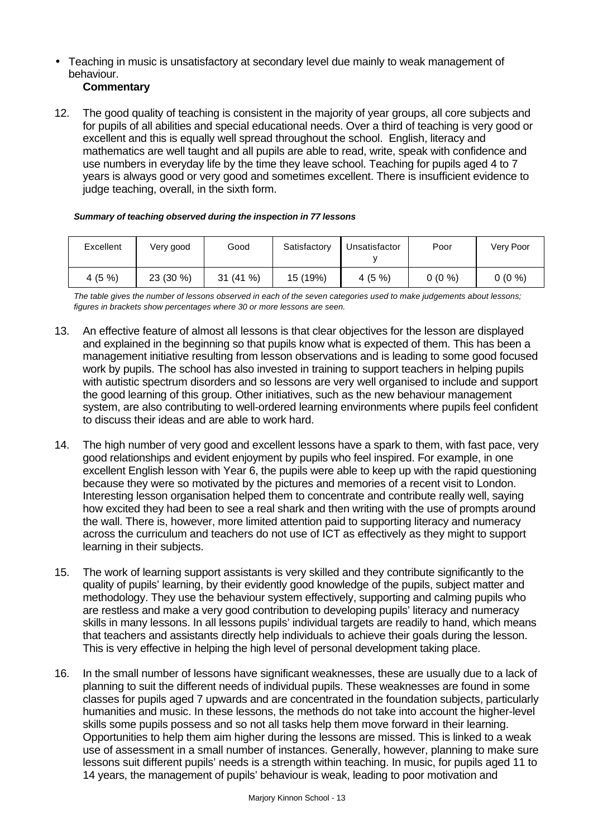• Teaching in music is unsatisfactory at secondary level due mainly to weak management of behaviour.

### **Commentary**

12. The good quality of teaching is consistent in the majority of year groups, all core subjects and for pupils of all abilities and special educational needs. Over a third of teaching is very good or excellent and this is equally well spread throughout the school. English, literacy and mathematics are well taught and all pupils are able to read, write, speak with confidence and use numbers in everyday life by the time they leave school. Teaching for pupils aged 4 to 7 years is always good or very good and sometimes excellent. There is insufficient evidence to judge teaching, overall, in the sixth form.

|  | Summary of teaching observed during the inspection in 77 lessons |
|--|------------------------------------------------------------------|
|--|------------------------------------------------------------------|

| Excellent | Very good | Good    | Satisfactory | Unsatisfactor | Poor     | Very Poor |
|-----------|-----------|---------|--------------|---------------|----------|-----------|
| 4(5%)     | 23 (30 %) | 31(41%) | 15 (19%)     | 4 $(5\%$      | $0(0\%)$ | $0(0\%)$  |

*The table gives the number of lessons observed in each of the seven categories used to make judgements about lessons; figures in brackets show percentages where 30 or more lessons are seen.*

- 13. An effective feature of almost all lessons is that clear objectives for the lesson are displayed and explained in the beginning so that pupils know what is expected of them. This has been a management initiative resulting from lesson observations and is leading to some good focused work by pupils. The school has also invested in training to support teachers in helping pupils with autistic spectrum disorders and so lessons are very well organised to include and support the good learning of this group. Other initiatives, such as the new behaviour management system, are also contributing to well-ordered learning environments where pupils feel confident to discuss their ideas and are able to work hard.
- 14. The high number of very good and excellent lessons have a spark to them, with fast pace, very good relationships and evident enjoyment by pupils who feel inspired. For example, in one excellent English lesson with Year 6, the pupils were able to keep up with the rapid questioning because they were so motivated by the pictures and memories of a recent visit to London. Interesting lesson organisation helped them to concentrate and contribute really well, saying how excited they had been to see a real shark and then writing with the use of prompts around the wall. There is, however, more limited attention paid to supporting literacy and numeracy across the curriculum and teachers do not use of ICT as effectively as they might to support learning in their subjects.
- 15. The work of learning support assistants is very skilled and they contribute significantly to the quality of pupils' learning, by their evidently good knowledge of the pupils, subject matter and methodology. They use the behaviour system effectively, supporting and calming pupils who are restless and make a very good contribution to developing pupils' literacy and numeracy skills in many lessons. In all lessons pupils' individual targets are readily to hand, which means that teachers and assistants directly help individuals to achieve their goals during the lesson. This is very effective in helping the high level of personal development taking place.
- 16. In the small number of lessons have significant weaknesses, these are usually due to a lack of planning to suit the different needs of individual pupils. These weaknesses are found in some classes for pupils aged 7 upwards and are concentrated in the foundation subjects, particularly humanities and music. In these lessons, the methods do not take into account the higher-level skills some pupils possess and so not all tasks help them move forward in their learning. Opportunities to help them aim higher during the lessons are missed. This is linked to a weak use of assessment in a small number of instances. Generally, however, planning to make sure lessons suit different pupils' needs is a strength within teaching. In music, for pupils aged 11 to 14 years, the management of pupils' behaviour is weak, leading to poor motivation and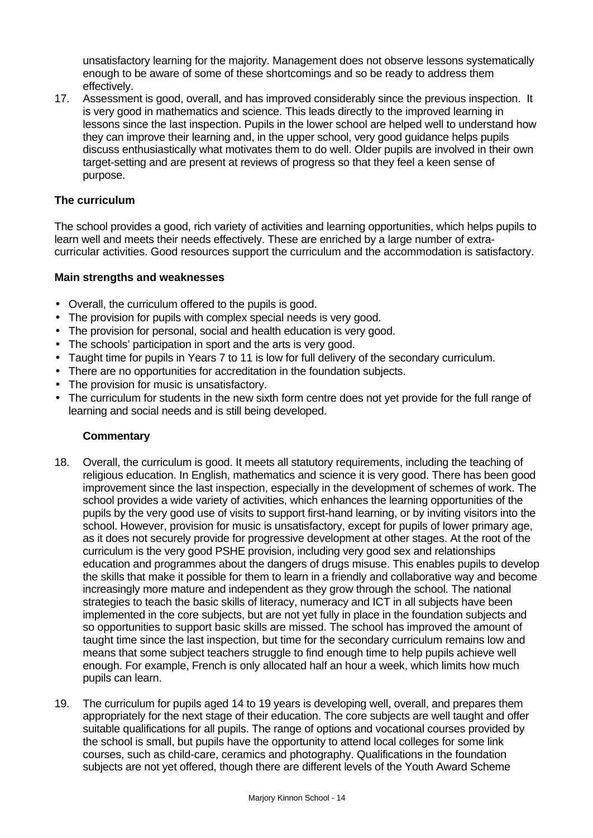unsatisfactory learning for the majority. Management does not observe lessons systematically enough to be aware of some of these shortcomings and so be ready to address them effectively.

17. Assessment is good, overall, and has improved considerably since the previous inspection. It is very good in mathematics and science. This leads directly to the improved learning in lessons since the last inspection. Pupils in the lower school are helped well to understand how they can improve their learning and, in the upper school, very good guidance helps pupils discuss enthusiastically what motivates them to do well. Older pupils are involved in their own target-setting and are present at reviews of progress so that they feel a keen sense of purpose.

#### **The curriculum**

The school provides a good, rich variety of activities and learning opportunities, which helps pupils to learn well and meets their needs effectively. These are enriched by a large number of extracurricular activities. Good resources support the curriculum and the accommodation is satisfactory.

#### **Main strengths and weaknesses**

- Overall, the curriculum offered to the pupils is good.
- The provision for pupils with complex special needs is very good.
- The provision for personal, social and health education is very good.
- The schools' participation in sport and the arts is very good.
- Taught time for pupils in Years 7 to 11 is low for full delivery of the secondary curriculum.
- There are no opportunities for accreditation in the foundation subjects.
- The provision for music is unsatisfactory.
- The curriculum for students in the new sixth form centre does not yet provide for the full range of learning and social needs and is still being developed.

- 18. Overall, the curriculum is good. It meets all statutory requirements, including the teaching of religious education. In English, mathematics and science it is very good. There has been good improvement since the last inspection, especially in the development of schemes of work. The school provides a wide variety of activities, which enhances the learning opportunities of the pupils by the very good use of visits to support first-hand learning, or by inviting visitors into the school. However, provision for music is unsatisfactory, except for pupils of lower primary age, as it does not securely provide for progressive development at other stages. At the root of the curriculum is the very good PSHE provision, including very good sex and relationships education and programmes about the dangers of drugs misuse. This enables pupils to develop the skills that make it possible for them to learn in a friendly and collaborative way and become increasingly more mature and independent as they grow through the school. The national strategies to teach the basic skills of literacy, numeracy and ICT in all subjects have been implemented in the core subjects, but are not yet fully in place in the foundation subjects and so opportunities to support basic skills are missed. The school has improved the amount of taught time since the last inspection, but time for the secondary curriculum remains low and means that some subject teachers struggle to find enough time to help pupils achieve well enough. For example, French is only allocated half an hour a week, which limits how much pupils can learn.
- 19. The curriculum for pupils aged 14 to 19 years is developing well, overall, and prepares them appropriately for the next stage of their education. The core subjects are well taught and offer suitable qualifications for all pupils. The range of options and vocational courses provided by the school is small, but pupils have the opportunity to attend local colleges for some link courses, such as child-care, ceramics and photography. Qualifications in the foundation subjects are not yet offered, though there are different levels of the Youth Award Scheme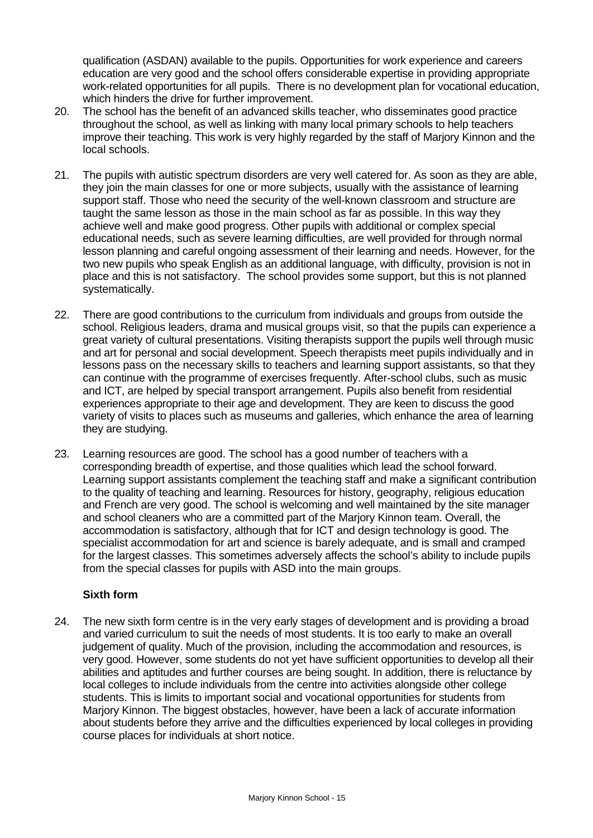qualification (ASDAN) available to the pupils. Opportunities for work experience and careers education are very good and the school offers considerable expertise in providing appropriate work-related opportunities for all pupils. There is no development plan for vocational education, which hinders the drive for further improvement.

- 20. The school has the benefit of an advanced skills teacher, who disseminates good practice throughout the school, as well as linking with many local primary schools to help teachers improve their teaching. This work is very highly regarded by the staff of Marjory Kinnon and the local schools.
- 21. The pupils with autistic spectrum disorders are very well catered for. As soon as they are able, they join the main classes for one or more subjects, usually with the assistance of learning support staff. Those who need the security of the well-known classroom and structure are taught the same lesson as those in the main school as far as possible. In this way they achieve well and make good progress. Other pupils with additional or complex special educational needs, such as severe learning difficulties, are well provided for through normal lesson planning and careful ongoing assessment of their learning and needs. However, for the two new pupils who speak English as an additional language, with difficulty, provision is not in place and this is not satisfactory. The school provides some support, but this is not planned systematically.
- 22. There are good contributions to the curriculum from individuals and groups from outside the school. Religious leaders, drama and musical groups visit, so that the pupils can experience a great variety of cultural presentations. Visiting therapists support the pupils well through music and art for personal and social development. Speech therapists meet pupils individually and in lessons pass on the necessary skills to teachers and learning support assistants, so that they can continue with the programme of exercises frequently. After-school clubs, such as music and ICT, are helped by special transport arrangement. Pupils also benefit from residential experiences appropriate to their age and development. They are keen to discuss the good variety of visits to places such as museums and galleries, which enhance the area of learning they are studying.
- 23. Learning resources are good. The school has a good number of teachers with a corresponding breadth of expertise, and those qualities which lead the school forward. Learning support assistants complement the teaching staff and make a significant contribution to the quality of teaching and learning. Resources for history, geography, religious education and French are very good. The school is welcoming and well maintained by the site manager and school cleaners who are a committed part of the Marjory Kinnon team. Overall, the accommodation is satisfactory, although that for ICT and design technology is good. The specialist accommodation for art and science is barely adequate, and is small and cramped for the largest classes. This sometimes adversely affects the school's ability to include pupils from the special classes for pupils with ASD into the main groups.

#### **Sixth form**

24. The new sixth form centre is in the very early stages of development and is providing a broad and varied curriculum to suit the needs of most students. It is too early to make an overall judgement of quality. Much of the provision, including the accommodation and resources, is very good. However, some students do not yet have sufficient opportunities to develop all their abilities and aptitudes and further courses are being sought. In addition, there is reluctance by local colleges to include individuals from the centre into activities alongside other college students. This is limits to important social and vocational opportunities for students from Marjory Kinnon. The biggest obstacles, however, have been a lack of accurate information about students before they arrive and the difficulties experienced by local colleges in providing course places for individuals at short notice.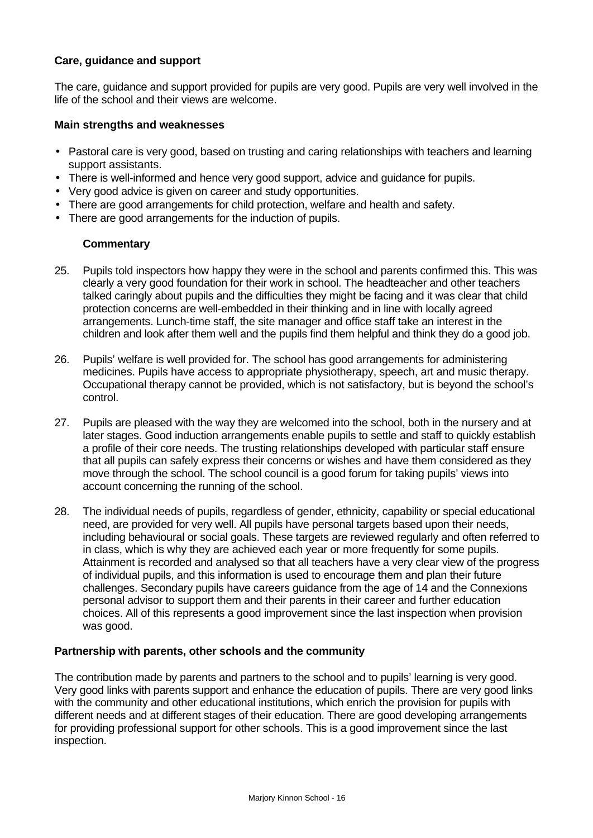#### **Care, guidance and support**

The care, guidance and support provided for pupils are very good. Pupils are very well involved in the life of the school and their views are welcome.

#### **Main strengths and weaknesses**

- Pastoral care is very good, based on trusting and caring relationships with teachers and learning support assistants.
- There is well-informed and hence very good support, advice and guidance for pupils.
- Very good advice is given on career and study opportunities.
- There are good arrangements for child protection, welfare and health and safety.
- There are good arrangements for the induction of pupils.

#### **Commentary**

- 25. Pupils told inspectors how happy they were in the school and parents confirmed this. This was clearly a very good foundation for their work in school. The headteacher and other teachers talked caringly about pupils and the difficulties they might be facing and it was clear that child protection concerns are well-embedded in their thinking and in line with locally agreed arrangements. Lunch-time staff, the site manager and office staff take an interest in the children and look after them well and the pupils find them helpful and think they do a good job.
- 26. Pupils' welfare is well provided for. The school has good arrangements for administering medicines. Pupils have access to appropriate physiotherapy, speech, art and music therapy. Occupational therapy cannot be provided, which is not satisfactory, but is beyond the school's control.
- 27. Pupils are pleased with the way they are welcomed into the school, both in the nursery and at later stages. Good induction arrangements enable pupils to settle and staff to quickly establish a profile of their core needs. The trusting relationships developed with particular staff ensure that all pupils can safely express their concerns or wishes and have them considered as they move through the school. The school council is a good forum for taking pupils' views into account concerning the running of the school.
- 28. The individual needs of pupils, regardless of gender, ethnicity, capability or special educational need, are provided for very well. All pupils have personal targets based upon their needs, including behavioural or social goals. These targets are reviewed regularly and often referred to in class, which is why they are achieved each year or more frequently for some pupils. Attainment is recorded and analysed so that all teachers have a very clear view of the progress of individual pupils, and this information is used to encourage them and plan their future challenges. Secondary pupils have careers guidance from the age of 14 and the Connexions personal advisor to support them and their parents in their career and further education choices. All of this represents a good improvement since the last inspection when provision was good.

#### **Partnership with parents, other schools and the community**

The contribution made by parents and partners to the school and to pupils' learning is very good. Very good links with parents support and enhance the education of pupils. There are very good links with the community and other educational institutions, which enrich the provision for pupils with different needs and at different stages of their education. There are good developing arrangements for providing professional support for other schools. This is a good improvement since the last inspection.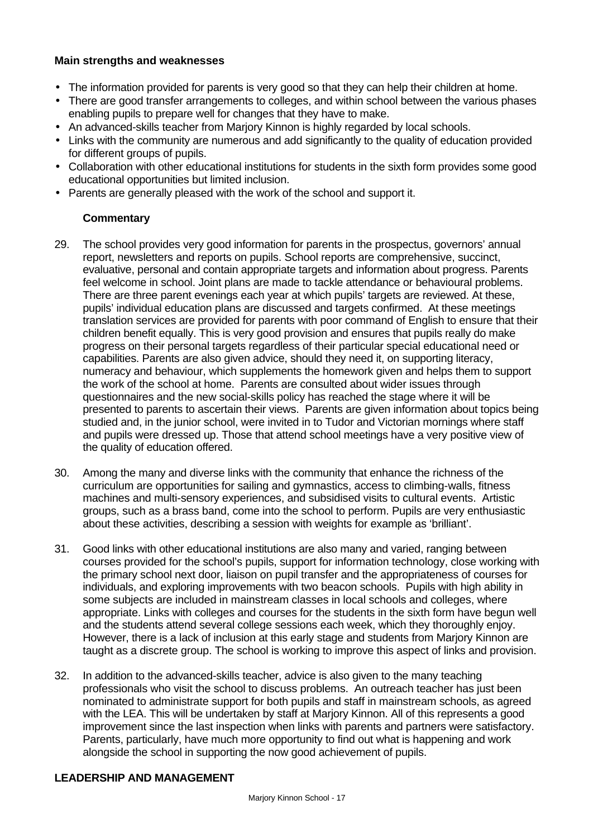#### **Main strengths and weaknesses**

- The information provided for parents is very good so that they can help their children at home.
- There are good transfer arrangements to colleges, and within school between the various phases enabling pupils to prepare well for changes that they have to make.
- An advanced-skills teacher from Marjory Kinnon is highly regarded by local schools.
- Links with the community are numerous and add significantly to the quality of education provided for different groups of pupils.
- Collaboration with other educational institutions for students in the sixth form provides some good educational opportunities but limited inclusion.
- Parents are generally pleased with the work of the school and support it.

#### **Commentary**

- 29. The school provides very good information for parents in the prospectus, governors' annual report, newsletters and reports on pupils. School reports are comprehensive, succinct, evaluative, personal and contain appropriate targets and information about progress. Parents feel welcome in school. Joint plans are made to tackle attendance or behavioural problems. There are three parent evenings each year at which pupils' targets are reviewed. At these, pupils' individual education plans are discussed and targets confirmed. At these meetings translation services are provided for parents with poor command of English to ensure that their children benefit equally. This is very good provision and ensures that pupils really do make progress on their personal targets regardless of their particular special educational need or capabilities. Parents are also given advice, should they need it, on supporting literacy, numeracy and behaviour, which supplements the homework given and helps them to support the work of the school at home. Parents are consulted about wider issues through questionnaires and the new social-skills policy has reached the stage where it will be presented to parents to ascertain their views. Parents are given information about topics being studied and, in the junior school, were invited in to Tudor and Victorian mornings where staff and pupils were dressed up. Those that attend school meetings have a very positive view of the quality of education offered.
- 30. Among the many and diverse links with the community that enhance the richness of the curriculum are opportunities for sailing and gymnastics, access to climbing-walls, fitness machines and multi-sensory experiences, and subsidised visits to cultural events. Artistic groups, such as a brass band, come into the school to perform. Pupils are very enthusiastic about these activities, describing a session with weights for example as 'brilliant'.
- 31. Good links with other educational institutions are also many and varied, ranging between courses provided for the school's pupils, support for information technology, close working with the primary school next door, liaison on pupil transfer and the appropriateness of courses for individuals, and exploring improvements with two beacon schools. Pupils with high ability in some subjects are included in mainstream classes in local schools and colleges, where appropriate. Links with colleges and courses for the students in the sixth form have begun well and the students attend several college sessions each week, which they thoroughly enjoy. However, there is a lack of inclusion at this early stage and students from Marjory Kinnon are taught as a discrete group. The school is working to improve this aspect of links and provision.
- 32. In addition to the advanced-skills teacher, advice is also given to the many teaching professionals who visit the school to discuss problems. An outreach teacher has just been nominated to administrate support for both pupils and staff in mainstream schools, as agreed with the LEA. This will be undertaken by staff at Marjory Kinnon. All of this represents a good improvement since the last inspection when links with parents and partners were satisfactory. Parents, particularly, have much more opportunity to find out what is happening and work alongside the school in supporting the now good achievement of pupils.

#### **LEADERSHIP AND MANAGEMENT**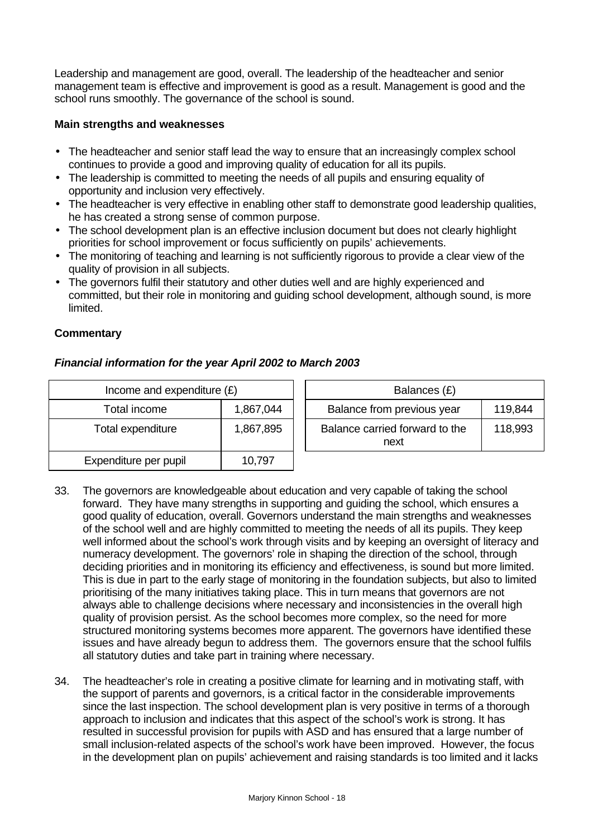Leadership and management are good, overall. The leadership of the headteacher and senior management team is effective and improvement is good as a result. Management is good and the school runs smoothly. The governance of the school is sound.

### **Main strengths and weaknesses**

- The headteacher and senior staff lead the way to ensure that an increasingly complex school continues to provide a good and improving quality of education for all its pupils.
- The leadership is committed to meeting the needs of all pupils and ensuring equality of opportunity and inclusion very effectively.
- The headteacher is very effective in enabling other staff to demonstrate good leadership qualities, he has created a strong sense of common purpose.
- The school development plan is an effective inclusion document but does not clearly highlight priorities for school improvement or focus sufficiently on pupils' achievements.
- The monitoring of teaching and learning is not sufficiently rigorous to provide a clear view of the quality of provision in all subjects.
- The governors fulfil their statutory and other duties well and are highly experienced and committed, but their role in monitoring and guiding school development, although sound, is more limited.

### **Commentary**

# *Financial information for the year April 2002 to March 2003*

| Income and expenditure $(E)$   |        | Balances (£)                           |         |  |
|--------------------------------|--------|----------------------------------------|---------|--|
| Total income<br>1,867,044      |        | Balance from previous year             | 119,844 |  |
| Total expenditure<br>1,867,895 |        | Balance carried forward to the<br>next | 118,993 |  |
| Expenditure per pupil          | 10,797 |                                        |         |  |

- 33. The governors are knowledgeable about education and very capable of taking the school forward. They have many strengths in supporting and guiding the school, which ensures a good quality of education, overall. Governors understand the main strengths and weaknesses of the school well and are highly committed to meeting the needs of all its pupils. They keep well informed about the school's work through visits and by keeping an oversight of literacy and numeracy development. The governors' role in shaping the direction of the school, through deciding priorities and in monitoring its efficiency and effectiveness, is sound but more limited. This is due in part to the early stage of monitoring in the foundation subjects, but also to limited prioritising of the many initiatives taking place. This in turn means that governors are not always able to challenge decisions where necessary and inconsistencies in the overall high quality of provision persist. As the school becomes more complex, so the need for more structured monitoring systems becomes more apparent. The governors have identified these issues and have already begun to address them. The governors ensure that the school fulfils all statutory duties and take part in training where necessary.
- 34. The headteacher's role in creating a positive climate for learning and in motivating staff, with the support of parents and governors, is a critical factor in the considerable improvements since the last inspection. The school development plan is very positive in terms of a thorough approach to inclusion and indicates that this aspect of the school's work is strong. It has resulted in successful provision for pupils with ASD and has ensured that a large number of small inclusion-related aspects of the school's work have been improved. However, the focus in the development plan on pupils' achievement and raising standards is too limited and it lacks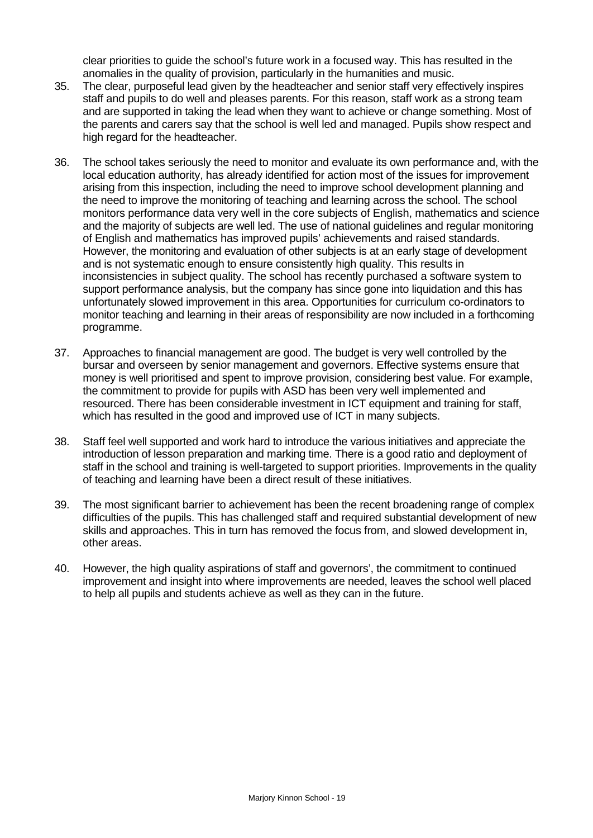clear priorities to guide the school's future work in a focused way. This has resulted in the anomalies in the quality of provision, particularly in the humanities and music.

- 35. The clear, purposeful lead given by the headteacher and senior staff very effectively inspires staff and pupils to do well and pleases parents. For this reason, staff work as a strong team and are supported in taking the lead when they want to achieve or change something. Most of the parents and carers say that the school is well led and managed. Pupils show respect and high regard for the headteacher.
- 36. The school takes seriously the need to monitor and evaluate its own performance and, with the local education authority, has already identified for action most of the issues for improvement arising from this inspection, including the need to improve school development planning and the need to improve the monitoring of teaching and learning across the school. The school monitors performance data very well in the core subjects of English, mathematics and science and the majority of subjects are well led. The use of national guidelines and regular monitoring of English and mathematics has improved pupils' achievements and raised standards. However, the monitoring and evaluation of other subjects is at an early stage of development and is not systematic enough to ensure consistently high quality. This results in inconsistencies in subject quality. The school has recently purchased a software system to support performance analysis, but the company has since gone into liquidation and this has unfortunately slowed improvement in this area. Opportunities for curriculum co-ordinators to monitor teaching and learning in their areas of responsibility are now included in a forthcoming programme.
- 37. Approaches to financial management are good. The budget is very well controlled by the bursar and overseen by senior management and governors. Effective systems ensure that money is well prioritised and spent to improve provision, considering best value. For example, the commitment to provide for pupils with ASD has been very well implemented and resourced. There has been considerable investment in ICT equipment and training for staff, which has resulted in the good and improved use of ICT in many subjects.
- 38. Staff feel well supported and work hard to introduce the various initiatives and appreciate the introduction of lesson preparation and marking time. There is a good ratio and deployment of staff in the school and training is well-targeted to support priorities. Improvements in the quality of teaching and learning have been a direct result of these initiatives.
- 39. The most significant barrier to achievement has been the recent broadening range of complex difficulties of the pupils. This has challenged staff and required substantial development of new skills and approaches. This in turn has removed the focus from, and slowed development in, other areas.
- 40. However, the high quality aspirations of staff and governors', the commitment to continued improvement and insight into where improvements are needed, leaves the school well placed to help all pupils and students achieve as well as they can in the future.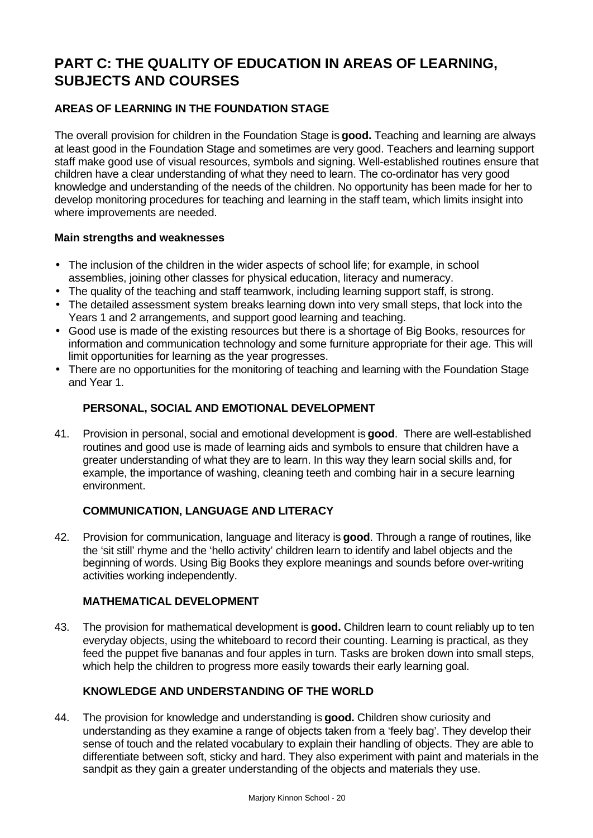# **PART C: THE QUALITY OF EDUCATION IN AREAS OF LEARNING, SUBJECTS AND COURSES**

# **AREAS OF LEARNING IN THE FOUNDATION STAGE**

The overall provision for children in the Foundation Stage is **good.** Teaching and learning are always at least good in the Foundation Stage and sometimes are very good. Teachers and learning support staff make good use of visual resources, symbols and signing. Well-established routines ensure that children have a clear understanding of what they need to learn. The co-ordinator has very good knowledge and understanding of the needs of the children. No opportunity has been made for her to develop monitoring procedures for teaching and learning in the staff team, which limits insight into where improvements are needed.

### **Main strengths and weaknesses**

- The inclusion of the children in the wider aspects of school life; for example, in school assemblies, joining other classes for physical education, literacy and numeracy.
- The quality of the teaching and staff teamwork, including learning support staff, is strong.
- The detailed assessment system breaks learning down into very small steps, that lock into the Years 1 and 2 arrangements, and support good learning and teaching.
- Good use is made of the existing resources but there is a shortage of Big Books, resources for information and communication technology and some furniture appropriate for their age. This will limit opportunities for learning as the year progresses.
- There are no opportunities for the monitoring of teaching and learning with the Foundation Stage and Year 1.

# **PERSONAL, SOCIAL AND EMOTIONAL DEVELOPMENT**

41. Provision in personal, social and emotional development is **good**. There are well-established routines and good use is made of learning aids and symbols to ensure that children have a greater understanding of what they are to learn. In this way they learn social skills and, for example, the importance of washing, cleaning teeth and combing hair in a secure learning environment.

#### **COMMUNICATION, LANGUAGE AND LITERACY**

42. Provision for communication, language and literacy is **good**. Through a range of routines, like the 'sit still' rhyme and the 'hello activity' children learn to identify and label objects and the beginning of words. Using Big Books they explore meanings and sounds before over-writing activities working independently.

#### **MATHEMATICAL DEVELOPMENT**

43. The provision for mathematical development is **good.** Children learn to count reliably up to ten everyday objects, using the whiteboard to record their counting. Learning is practical, as they feed the puppet five bananas and four apples in turn. Tasks are broken down into small steps, which help the children to progress more easily towards their early learning goal.

# **KNOWLEDGE AND UNDERSTANDING OF THE WORLD**

44. The provision for knowledge and understanding is **good.** Children show curiosity and understanding as they examine a range of objects taken from a 'feely bag'. They develop their sense of touch and the related vocabulary to explain their handling of objects. They are able to differentiate between soft, sticky and hard. They also experiment with paint and materials in the sandpit as they gain a greater understanding of the objects and materials they use.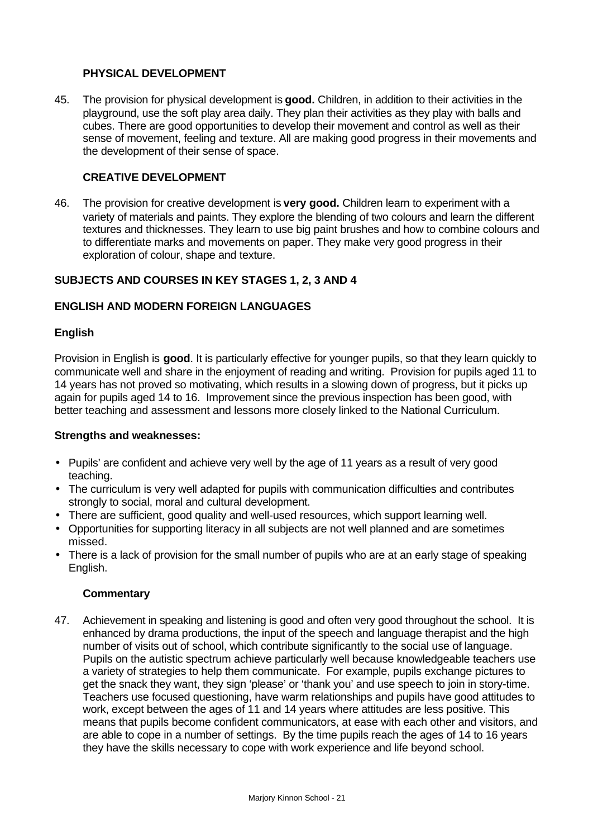### **PHYSICAL DEVELOPMENT**

45. The provision for physical development is **good.** Children, in addition to their activities in the playground, use the soft play area daily. They plan their activities as they play with balls and cubes. There are good opportunities to develop their movement and control as well as their sense of movement, feeling and texture. All are making good progress in their movements and the development of their sense of space.

#### **CREATIVE DEVELOPMENT**

46. The provision for creative development is **very good.** Children learn to experiment with a variety of materials and paints. They explore the blending of two colours and learn the different textures and thicknesses. They learn to use big paint brushes and how to combine colours and to differentiate marks and movements on paper. They make very good progress in their exploration of colour, shape and texture.

# **SUBJECTS AND COURSES IN KEY STAGES 1, 2, 3 AND 4**

#### **ENGLISH AND MODERN FOREIGN LANGUAGES**

#### **English**

Provision in English is **good**. It is particularly effective for younger pupils, so that they learn quickly to communicate well and share in the enjoyment of reading and writing. Provision for pupils aged 11 to 14 years has not proved so motivating, which results in a slowing down of progress, but it picks up again for pupils aged 14 to 16. Improvement since the previous inspection has been good, with better teaching and assessment and lessons more closely linked to the National Curriculum.

#### **Strengths and weaknesses:**

- Pupils' are confident and achieve very well by the age of 11 years as a result of very good teaching.
- The curriculum is very well adapted for pupils with communication difficulties and contributes strongly to social, moral and cultural development.
- There are sufficient, good quality and well-used resources, which support learning well.
- Opportunities for supporting literacy in all subjects are not well planned and are sometimes missed.
- There is a lack of provision for the small number of pupils who are at an early stage of speaking English.

#### **Commentary**

47. Achievement in speaking and listening is good and often very good throughout the school. It is enhanced by drama productions, the input of the speech and language therapist and the high number of visits out of school, which contribute significantly to the social use of language. Pupils on the autistic spectrum achieve particularly well because knowledgeable teachers use a variety of strategies to help them communicate. For example, pupils exchange pictures to get the snack they want, they sign 'please' or 'thank you' and use speech to join in story-time. Teachers use focused questioning, have warm relationships and pupils have good attitudes to work, except between the ages of 11 and 14 years where attitudes are less positive. This means that pupils become confident communicators, at ease with each other and visitors, and are able to cope in a number of settings. By the time pupils reach the ages of 14 to 16 years they have the skills necessary to cope with work experience and life beyond school.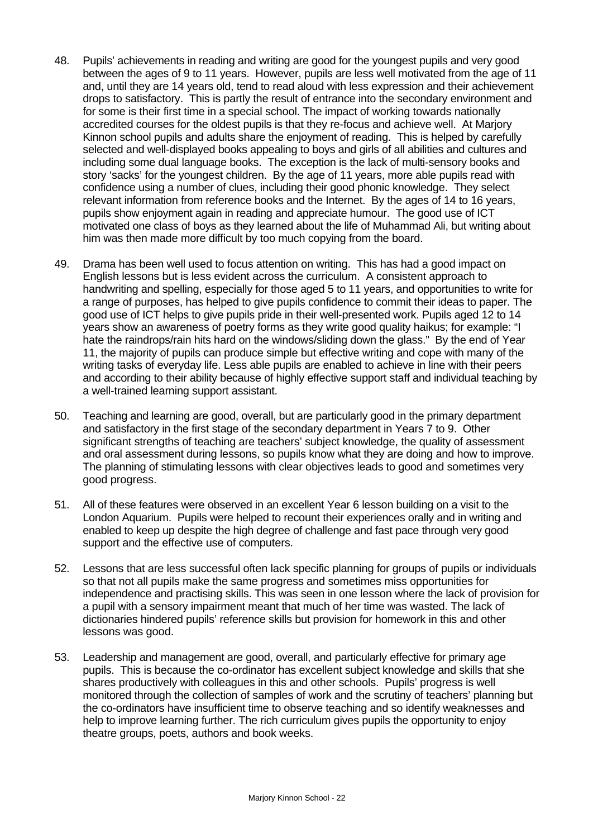- 48. Pupils' achievements in reading and writing are good for the youngest pupils and very good between the ages of 9 to 11 years. However, pupils are less well motivated from the age of 11 and, until they are 14 years old, tend to read aloud with less expression and their achievement drops to satisfactory. This is partly the result of entrance into the secondary environment and for some is their first time in a special school. The impact of working towards nationally accredited courses for the oldest pupils is that they re-focus and achieve well. At Marjory Kinnon school pupils and adults share the enjoyment of reading. This is helped by carefully selected and well-displayed books appealing to boys and girls of all abilities and cultures and including some dual language books. The exception is the lack of multi-sensory books and story 'sacks' for the youngest children. By the age of 11 years, more able pupils read with confidence using a number of clues, including their good phonic knowledge. They select relevant information from reference books and the Internet. By the ages of 14 to 16 years, pupils show enjoyment again in reading and appreciate humour. The good use of ICT motivated one class of boys as they learned about the life of Muhammad Ali, but writing about him was then made more difficult by too much copying from the board.
- 49. Drama has been well used to focus attention on writing. This has had a good impact on English lessons but is less evident across the curriculum. A consistent approach to handwriting and spelling, especially for those aged 5 to 11 years, and opportunities to write for a range of purposes, has helped to give pupils confidence to commit their ideas to paper. The good use of ICT helps to give pupils pride in their well-presented work. Pupils aged 12 to 14 years show an awareness of poetry forms as they write good quality haikus; for example: "I hate the raindrops/rain hits hard on the windows/sliding down the glass." By the end of Year 11, the majority of pupils can produce simple but effective writing and cope with many of the writing tasks of everyday life. Less able pupils are enabled to achieve in line with their peers and according to their ability because of highly effective support staff and individual teaching by a well-trained learning support assistant.
- 50. Teaching and learning are good, overall, but are particularly good in the primary department and satisfactory in the first stage of the secondary department in Years 7 to 9. Other significant strengths of teaching are teachers' subject knowledge, the quality of assessment and oral assessment during lessons, so pupils know what they are doing and how to improve. The planning of stimulating lessons with clear objectives leads to good and sometimes very good progress.
- 51. All of these features were observed in an excellent Year 6 lesson building on a visit to the London Aquarium. Pupils were helped to recount their experiences orally and in writing and enabled to keep up despite the high degree of challenge and fast pace through very good support and the effective use of computers.
- 52. Lessons that are less successful often lack specific planning for groups of pupils or individuals so that not all pupils make the same progress and sometimes miss opportunities for independence and practising skills. This was seen in one lesson where the lack of provision for a pupil with a sensory impairment meant that much of her time was wasted. The lack of dictionaries hindered pupils' reference skills but provision for homework in this and other lessons was good.
- 53. Leadership and management are good, overall, and particularly effective for primary age pupils. This is because the co-ordinator has excellent subject knowledge and skills that she shares productively with colleagues in this and other schools. Pupils' progress is well monitored through the collection of samples of work and the scrutiny of teachers' planning but the co-ordinators have insufficient time to observe teaching and so identify weaknesses and help to improve learning further. The rich curriculum gives pupils the opportunity to enjoy theatre groups, poets, authors and book weeks.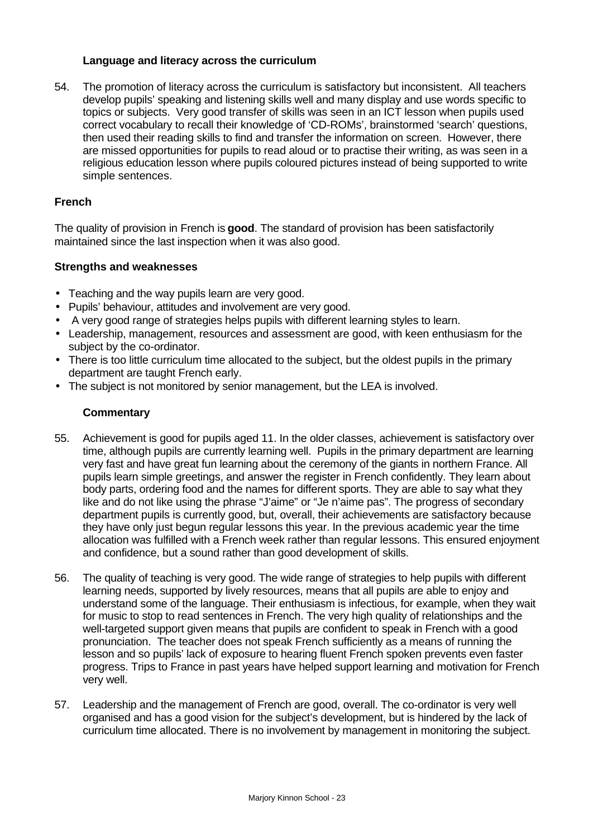#### **Language and literacy across the curriculum**

54. The promotion of literacy across the curriculum is satisfactory but inconsistent. All teachers develop pupils' speaking and listening skills well and many display and use words specific to topics or subjects. Very good transfer of skills was seen in an ICT lesson when pupils used correct vocabulary to recall their knowledge of 'CD-ROMs', brainstormed 'search' questions, then used their reading skills to find and transfer the information on screen. However, there are missed opportunities for pupils to read aloud or to practise their writing, as was seen in a religious education lesson where pupils coloured pictures instead of being supported to write simple sentences.

#### **French**

The quality of provision in French is **good**. The standard of provision has been satisfactorily maintained since the last inspection when it was also good.

#### **Strengths and weaknesses**

- Teaching and the way pupils learn are very good.
- Pupils' behaviour, attitudes and involvement are very good.
- A very good range of strategies helps pupils with different learning styles to learn.
- Leadership, management, resources and assessment are good, with keen enthusiasm for the subject by the co-ordinator.
- There is too little curriculum time allocated to the subject, but the oldest pupils in the primary department are taught French early.
- The subject is not monitored by senior management, but the LEA is involved.

- 55. Achievement is good for pupils aged 11. In the older classes, achievement is satisfactory over time, although pupils are currently learning well. Pupils in the primary department are learning very fast and have great fun learning about the ceremony of the giants in northern France. All pupils learn simple greetings, and answer the register in French confidently. They learn about body parts, ordering food and the names for different sports. They are able to say what they like and do not like using the phrase "J'aime" or "Je n'aime pas". The progress of secondary department pupils is currently good, but, overall, their achievements are satisfactory because they have only just begun regular lessons this year. In the previous academic year the time allocation was fulfilled with a French week rather than regular lessons. This ensured enjoyment and confidence, but a sound rather than good development of skills.
- 56. The quality of teaching is very good. The wide range of strategies to help pupils with different learning needs, supported by lively resources, means that all pupils are able to enjoy and understand some of the language. Their enthusiasm is infectious, for example, when they wait for music to stop to read sentences in French. The very high quality of relationships and the well-targeted support given means that pupils are confident to speak in French with a good pronunciation. The teacher does not speak French sufficiently as a means of running the lesson and so pupils' lack of exposure to hearing fluent French spoken prevents even faster progress. Trips to France in past years have helped support learning and motivation for French very well.
- 57. Leadership and the management of French are good, overall. The co-ordinator is very well organised and has a good vision for the subject's development, but is hindered by the lack of curriculum time allocated. There is no involvement by management in monitoring the subject.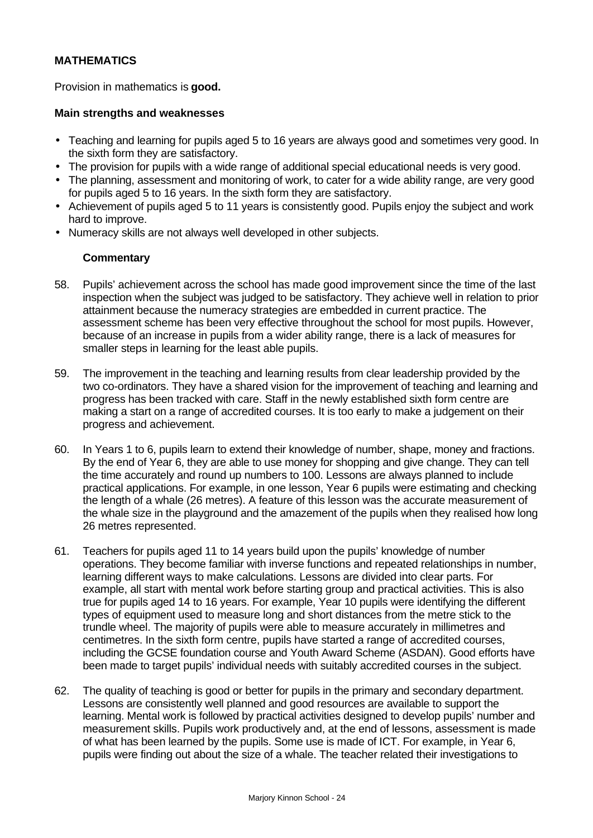# **MATHEMATICS**

Provision in mathematics is **good.**

#### **Main strengths and weaknesses**

- Teaching and learning for pupils aged 5 to 16 years are always good and sometimes very good. In the sixth form they are satisfactory.
- The provision for pupils with a wide range of additional special educational needs is very good.
- The planning, assessment and monitoring of work, to cater for a wide ability range, are very good for pupils aged 5 to 16 years. In the sixth form they are satisfactory.
- Achievement of pupils aged 5 to 11 years is consistently good. Pupils enjoy the subject and work hard to improve.
- Numeracy skills are not always well developed in other subjects.

- 58. Pupils' achievement across the school has made good improvement since the time of the last inspection when the subject was judged to be satisfactory. They achieve well in relation to prior attainment because the numeracy strategies are embedded in current practice. The assessment scheme has been very effective throughout the school for most pupils. However, because of an increase in pupils from a wider ability range, there is a lack of measures for smaller steps in learning for the least able pupils.
- 59. The improvement in the teaching and learning results from clear leadership provided by the two co-ordinators. They have a shared vision for the improvement of teaching and learning and progress has been tracked with care. Staff in the newly established sixth form centre are making a start on a range of accredited courses. It is too early to make a judgement on their progress and achievement.
- 60. In Years 1 to 6, pupils learn to extend their knowledge of number, shape, money and fractions. By the end of Year 6, they are able to use money for shopping and give change. They can tell the time accurately and round up numbers to 100. Lessons are always planned to include practical applications. For example, in one lesson, Year 6 pupils were estimating and checking the length of a whale (26 metres). A feature of this lesson was the accurate measurement of the whale size in the playground and the amazement of the pupils when they realised how long 26 metres represented.
- 61. Teachers for pupils aged 11 to 14 years build upon the pupils' knowledge of number operations. They become familiar with inverse functions and repeated relationships in number, learning different ways to make calculations. Lessons are divided into clear parts. For example, all start with mental work before starting group and practical activities. This is also true for pupils aged 14 to 16 years. For example, Year 10 pupils were identifying the different types of equipment used to measure long and short distances from the metre stick to the trundle wheel. The majority of pupils were able to measure accurately in millimetres and centimetres. In the sixth form centre, pupils have started a range of accredited courses, including the GCSE foundation course and Youth Award Scheme (ASDAN). Good efforts have been made to target pupils' individual needs with suitably accredited courses in the subject.
- 62. The quality of teaching is good or better for pupils in the primary and secondary department. Lessons are consistently well planned and good resources are available to support the learning. Mental work is followed by practical activities designed to develop pupils' number and measurement skills. Pupils work productively and, at the end of lessons, assessment is made of what has been learned by the pupils. Some use is made of ICT. For example, in Year 6, pupils were finding out about the size of a whale. The teacher related their investigations to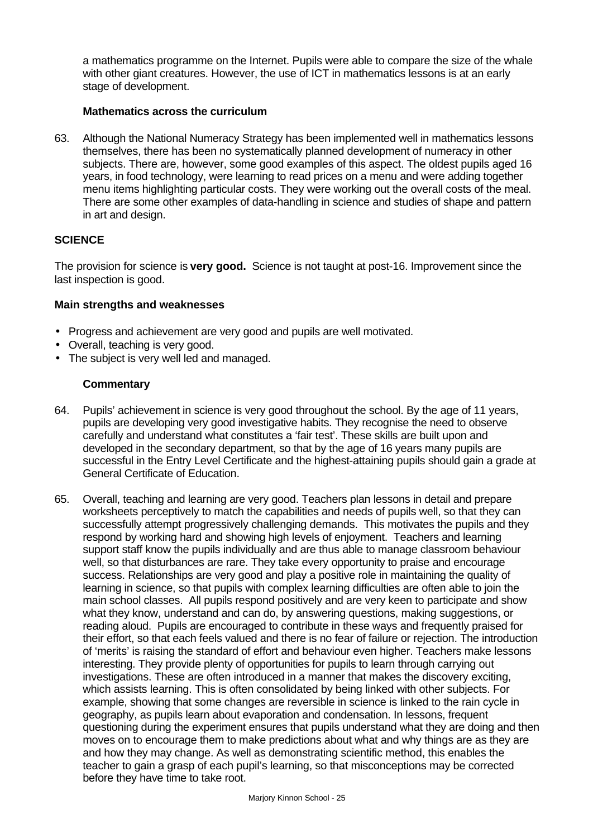a mathematics programme on the Internet. Pupils were able to compare the size of the whale with other giant creatures. However, the use of ICT in mathematics lessons is at an early stage of development.

#### **Mathematics across the curriculum**

63. Although the National Numeracy Strategy has been implemented well in mathematics lessons themselves, there has been no systematically planned development of numeracy in other subjects. There are, however, some good examples of this aspect. The oldest pupils aged 16 years, in food technology, were learning to read prices on a menu and were adding together menu items highlighting particular costs. They were working out the overall costs of the meal. There are some other examples of data-handling in science and studies of shape and pattern in art and design.

# **SCIENCE**

The provision for science is **very good.** Science is not taught at post-16. Improvement since the last inspection is good.

#### **Main strengths and weaknesses**

- Progress and achievement are very good and pupils are well motivated.
- Overall, teaching is very good.
- The subject is very well led and managed.

- 64. Pupils' achievement in science is very good throughout the school. By the age of 11 years, pupils are developing very good investigative habits. They recognise the need to observe carefully and understand what constitutes a 'fair test'. These skills are built upon and developed in the secondary department, so that by the age of 16 years many pupils are successful in the Entry Level Certificate and the highest-attaining pupils should gain a grade at General Certificate of Education.
- 65. Overall, teaching and learning are very good. Teachers plan lessons in detail and prepare worksheets perceptively to match the capabilities and needs of pupils well, so that they can successfully attempt progressively challenging demands. This motivates the pupils and they respond by working hard and showing high levels of enjoyment. Teachers and learning support staff know the pupils individually and are thus able to manage classroom behaviour well, so that disturbances are rare. They take every opportunity to praise and encourage success. Relationships are very good and play a positive role in maintaining the quality of learning in science, so that pupils with complex learning difficulties are often able to join the main school classes. All pupils respond positively and are very keen to participate and show what they know, understand and can do, by answering questions, making suggestions, or reading aloud. Pupils are encouraged to contribute in these ways and frequently praised for their effort, so that each feels valued and there is no fear of failure or rejection. The introduction of 'merits' is raising the standard of effort and behaviour even higher. Teachers make lessons interesting. They provide plenty of opportunities for pupils to learn through carrying out investigations. These are often introduced in a manner that makes the discovery exciting, which assists learning. This is often consolidated by being linked with other subjects. For example, showing that some changes are reversible in science is linked to the rain cycle in geography, as pupils learn about evaporation and condensation. In lessons, frequent questioning during the experiment ensures that pupils understand what they are doing and then moves on to encourage them to make predictions about what and why things are as they are and how they may change. As well as demonstrating scientific method, this enables the teacher to gain a grasp of each pupil's learning, so that misconceptions may be corrected before they have time to take root.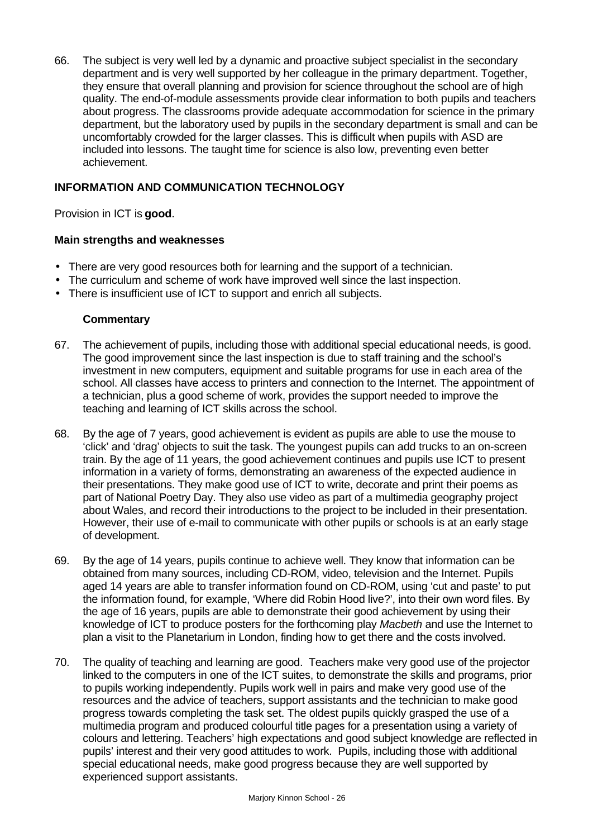66. The subject is very well led by a dynamic and proactive subject specialist in the secondary department and is very well supported by her colleague in the primary department. Together, they ensure that overall planning and provision for science throughout the school are of high quality. The end-of-module assessments provide clear information to both pupils and teachers about progress. The classrooms provide adequate accommodation for science in the primary department, but the laboratory used by pupils in the secondary department is small and can be uncomfortably crowded for the larger classes. This is difficult when pupils with ASD are included into lessons. The taught time for science is also low, preventing even better achievement.

# **INFORMATION AND COMMUNICATION TECHNOLOGY**

Provision in ICT is **good**.

#### **Main strengths and weaknesses**

- There are very good resources both for learning and the support of a technician.
- The curriculum and scheme of work have improved well since the last inspection.
- There is insufficient use of ICT to support and enrich all subjects.

- 67. The achievement of pupils, including those with additional special educational needs, is good. The good improvement since the last inspection is due to staff training and the school's investment in new computers, equipment and suitable programs for use in each area of the school. All classes have access to printers and connection to the Internet. The appointment of a technician, plus a good scheme of work, provides the support needed to improve the teaching and learning of ICT skills across the school.
- 68. By the age of 7 years, good achievement is evident as pupils are able to use the mouse to 'click' and 'drag' objects to suit the task. The youngest pupils can add trucks to an on-screen train. By the age of 11 years, the good achievement continues and pupils use ICT to present information in a variety of forms, demonstrating an awareness of the expected audience in their presentations. They make good use of ICT to write, decorate and print their poems as part of National Poetry Day. They also use video as part of a multimedia geography project about Wales, and record their introductions to the project to be included in their presentation. However, their use of e-mail to communicate with other pupils or schools is at an early stage of development.
- 69. By the age of 14 years, pupils continue to achieve well. They know that information can be obtained from many sources, including CD-ROM, video, television and the Internet. Pupils aged 14 years are able to transfer information found on CD-ROM, using 'cut and paste' to put the information found, for example, 'Where did Robin Hood live?', into their own word files. By the age of 16 years, pupils are able to demonstrate their good achievement by using their knowledge of ICT to produce posters for the forthcoming play *Macbeth* and use the Internet to plan a visit to the Planetarium in London, finding how to get there and the costs involved.
- 70. The quality of teaching and learning are good. Teachers make very good use of the projector linked to the computers in one of the ICT suites, to demonstrate the skills and programs, prior to pupils working independently. Pupils work well in pairs and make very good use of the resources and the advice of teachers, support assistants and the technician to make good progress towards completing the task set. The oldest pupils quickly grasped the use of a multimedia program and produced colourful title pages for a presentation using a variety of colours and lettering. Teachers' high expectations and good subject knowledge are reflected in pupils' interest and their very good attitudes to work. Pupils, including those with additional special educational needs, make good progress because they are well supported by experienced support assistants.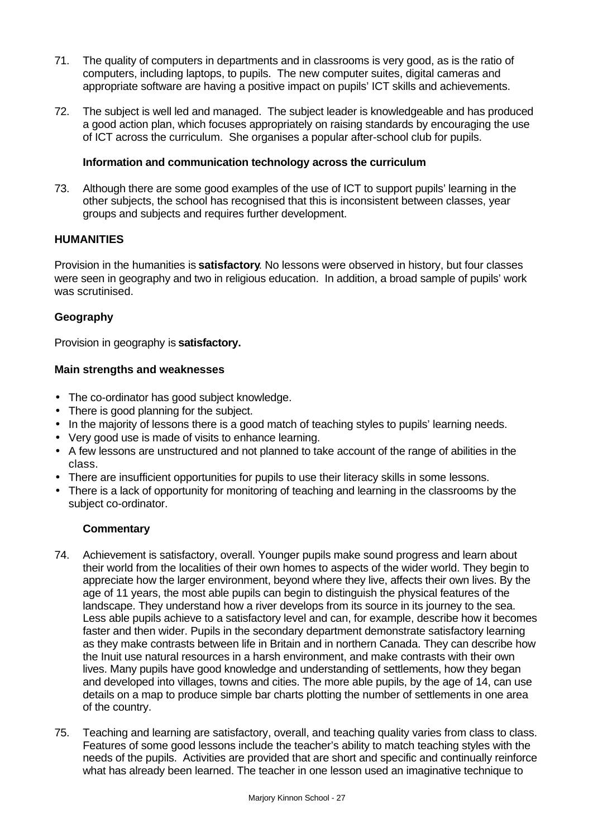- 71. The quality of computers in departments and in classrooms is very good, as is the ratio of computers, including laptops, to pupils. The new computer suites, digital cameras and appropriate software are having a positive impact on pupils' ICT skills and achievements.
- 72. The subject is well led and managed. The subject leader is knowledgeable and has produced a good action plan, which focuses appropriately on raising standards by encouraging the use of ICT across the curriculum. She organises a popular after-school club for pupils.

#### **Information and communication technology across the curriculum**

73. Although there are some good examples of the use of ICT to support pupils' learning in the other subjects, the school has recognised that this is inconsistent between classes, year groups and subjects and requires further development.

# **HUMANITIES**

Provision in the humanities is **satisfactory**. No lessons were observed in history, but four classes were seen in geography and two in religious education. In addition, a broad sample of pupils' work was scrutinised.

### **Geography**

Provision in geography is **satisfactory.**

### **Main strengths and weaknesses**

- The co-ordinator has good subject knowledge.
- There is good planning for the subject.
- In the majority of lessons there is a good match of teaching styles to pupils' learning needs.
- Very good use is made of visits to enhance learning.
- A few lessons are unstructured and not planned to take account of the range of abilities in the class.
- There are insufficient opportunities for pupils to use their literacy skills in some lessons.
- There is a lack of opportunity for monitoring of teaching and learning in the classrooms by the subject co-ordinator.

- 74. Achievement is satisfactory, overall. Younger pupils make sound progress and learn about their world from the localities of their own homes to aspects of the wider world. They begin to appreciate how the larger environment, beyond where they live, affects their own lives. By the age of 11 years, the most able pupils can begin to distinguish the physical features of the landscape. They understand how a river develops from its source in its journey to the sea. Less able pupils achieve to a satisfactory level and can, for example, describe how it becomes faster and then wider. Pupils in the secondary department demonstrate satisfactory learning as they make contrasts between life in Britain and in northern Canada. They can describe how the Inuit use natural resources in a harsh environment, and make contrasts with their own lives. Many pupils have good knowledge and understanding of settlements, how they began and developed into villages, towns and cities. The more able pupils, by the age of 14, can use details on a map to produce simple bar charts plotting the number of settlements in one area of the country.
- 75. Teaching and learning are satisfactory, overall, and teaching quality varies from class to class. Features of some good lessons include the teacher's ability to match teaching styles with the needs of the pupils. Activities are provided that are short and specific and continually reinforce what has already been learned. The teacher in one lesson used an imaginative technique to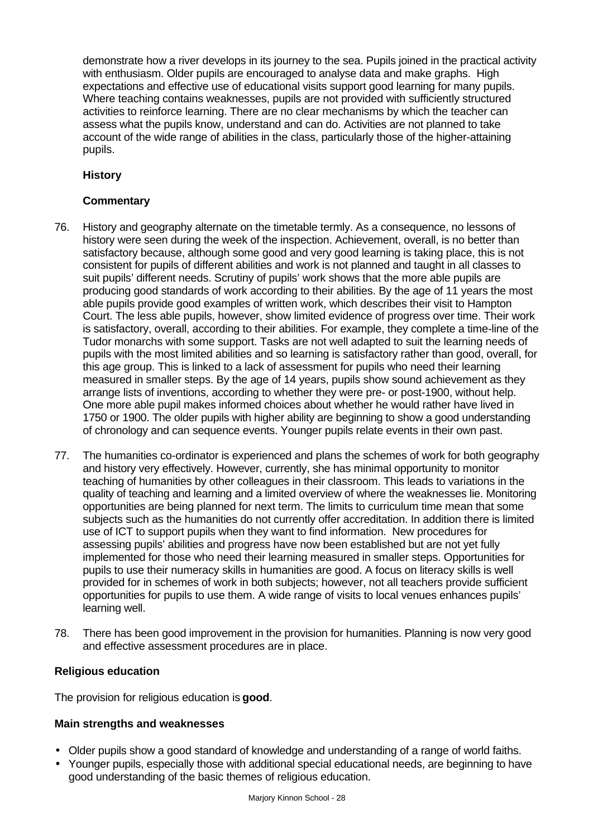demonstrate how a river develops in its journey to the sea. Pupils joined in the practical activity with enthusiasm. Older pupils are encouraged to analyse data and make graphs. High expectations and effective use of educational visits support good learning for many pupils. Where teaching contains weaknesses, pupils are not provided with sufficiently structured activities to reinforce learning. There are no clear mechanisms by which the teacher can assess what the pupils know, understand and can do. Activities are not planned to take account of the wide range of abilities in the class, particularly those of the higher-attaining pupils.

# **History**

# **Commentary**

- 76. History and geography alternate on the timetable termly. As a consequence, no lessons of history were seen during the week of the inspection. Achievement, overall, is no better than satisfactory because, although some good and very good learning is taking place, this is not consistent for pupils of different abilities and work is not planned and taught in all classes to suit pupils' different needs. Scrutiny of pupils' work shows that the more able pupils are producing good standards of work according to their abilities. By the age of 11 years the most able pupils provide good examples of written work, which describes their visit to Hampton Court. The less able pupils, however, show limited evidence of progress over time. Their work is satisfactory, overall, according to their abilities. For example, they complete a time-line of the Tudor monarchs with some support. Tasks are not well adapted to suit the learning needs of pupils with the most limited abilities and so learning is satisfactory rather than good, overall, for this age group. This is linked to a lack of assessment for pupils who need their learning measured in smaller steps. By the age of 14 years, pupils show sound achievement as they arrange lists of inventions, according to whether they were pre- or post-1900, without help. One more able pupil makes informed choices about whether he would rather have lived in 1750 or 1900. The older pupils with higher ability are beginning to show a good understanding of chronology and can sequence events. Younger pupils relate events in their own past.
- 77. The humanities co-ordinator is experienced and plans the schemes of work for both geography and history very effectively. However, currently, she has minimal opportunity to monitor teaching of humanities by other colleagues in their classroom. This leads to variations in the quality of teaching and learning and a limited overview of where the weaknesses lie. Monitoring opportunities are being planned for next term. The limits to curriculum time mean that some subjects such as the humanities do not currently offer accreditation. In addition there is limited use of ICT to support pupils when they want to find information. New procedures for assessing pupils' abilities and progress have now been established but are not yet fully implemented for those who need their learning measured in smaller steps. Opportunities for pupils to use their numeracy skills in humanities are good. A focus on literacy skills is well provided for in schemes of work in both subjects; however, not all teachers provide sufficient opportunities for pupils to use them. A wide range of visits to local venues enhances pupils' learning well.
- 78. There has been good improvement in the provision for humanities. Planning is now very good and effective assessment procedures are in place.

#### **Religious education**

The provision for religious education is **good**.

# **Main strengths and weaknesses**

- Older pupils show a good standard of knowledge and understanding of a range of world faiths.
- Younger pupils, especially those with additional special educational needs, are beginning to have good understanding of the basic themes of religious education.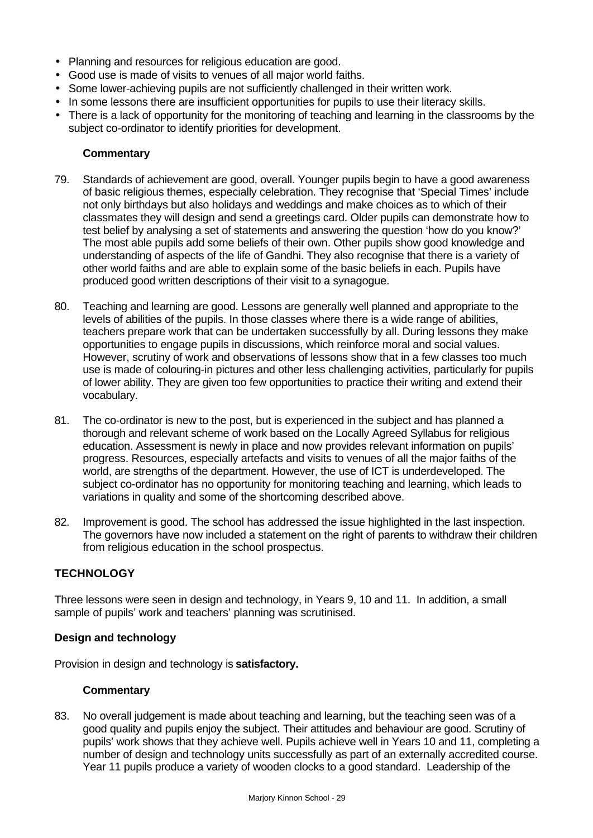- Planning and resources for religious education are good.
- Good use is made of visits to venues of all major world faiths.
- Some lower-achieving pupils are not sufficiently challenged in their written work.
- In some lessons there are insufficient opportunities for pupils to use their literacy skills.
- There is a lack of opportunity for the monitoring of teaching and learning in the classrooms by the subject co-ordinator to identify priorities for development.

#### **Commentary**

- 79. Standards of achievement are good, overall. Younger pupils begin to have a good awareness of basic religious themes, especially celebration. They recognise that 'Special Times' include not only birthdays but also holidays and weddings and make choices as to which of their classmates they will design and send a greetings card. Older pupils can demonstrate how to test belief by analysing a set of statements and answering the question 'how do you know?' The most able pupils add some beliefs of their own. Other pupils show good knowledge and understanding of aspects of the life of Gandhi. They also recognise that there is a variety of other world faiths and are able to explain some of the basic beliefs in each. Pupils have produced good written descriptions of their visit to a synagogue.
- 80. Teaching and learning are good. Lessons are generally well planned and appropriate to the levels of abilities of the pupils. In those classes where there is a wide range of abilities, teachers prepare work that can be undertaken successfully by all. During lessons they make opportunities to engage pupils in discussions, which reinforce moral and social values. However, scrutiny of work and observations of lessons show that in a few classes too much use is made of colouring-in pictures and other less challenging activities, particularly for pupils of lower ability. They are given too few opportunities to practice their writing and extend their vocabulary.
- 81. The co-ordinator is new to the post, but is experienced in the subject and has planned a thorough and relevant scheme of work based on the Locally Agreed Syllabus for religious education. Assessment is newly in place and now provides relevant information on pupils' progress. Resources, especially artefacts and visits to venues of all the major faiths of the world, are strengths of the department. However, the use of ICT is underdeveloped. The subject co-ordinator has no opportunity for monitoring teaching and learning, which leads to variations in quality and some of the shortcoming described above.
- 82. Improvement is good. The school has addressed the issue highlighted in the last inspection. The governors have now included a statement on the right of parents to withdraw their children from religious education in the school prospectus.

# **TECHNOLOGY**

Three lessons were seen in design and technology, in Years 9, 10 and 11. In addition, a small sample of pupils' work and teachers' planning was scrutinised.

#### **Design and technology**

Provision in design and technology is **satisfactory.**

#### **Commentary**

83. No overall judgement is made about teaching and learning, but the teaching seen was of a good quality and pupils enjoy the subject. Their attitudes and behaviour are good. Scrutiny of pupils' work shows that they achieve well. Pupils achieve well in Years 10 and 11, completing a number of design and technology units successfully as part of an externally accredited course. Year 11 pupils produce a variety of wooden clocks to a good standard. Leadership of the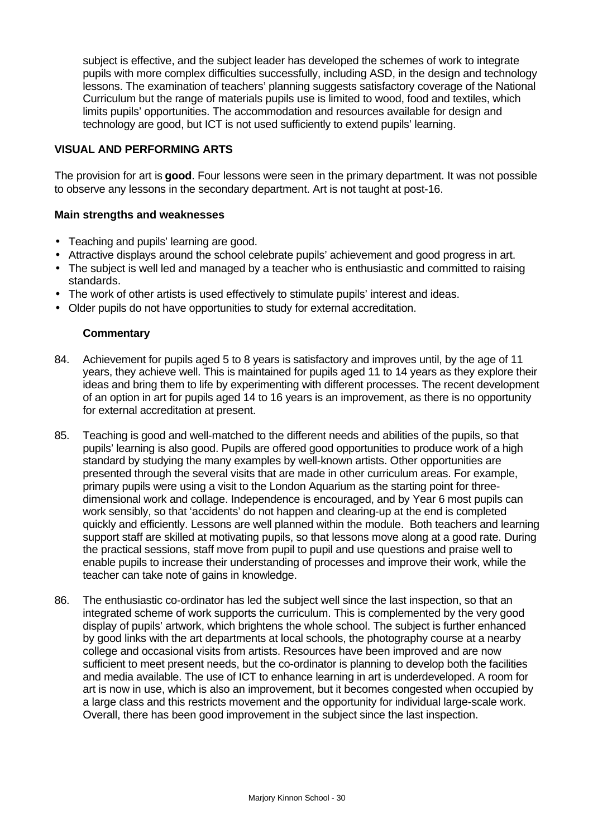subject is effective, and the subject leader has developed the schemes of work to integrate pupils with more complex difficulties successfully, including ASD, in the design and technology lessons. The examination of teachers' planning suggests satisfactory coverage of the National Curriculum but the range of materials pupils use is limited to wood, food and textiles, which limits pupils' opportunities. The accommodation and resources available for design and technology are good, but ICT is not used sufficiently to extend pupils' learning.

### **VISUAL AND PERFORMING ARTS**

The provision for art is **good**. Four lessons were seen in the primary department. It was not possible to observe any lessons in the secondary department. Art is not taught at post-16.

#### **Main strengths and weaknesses**

- Teaching and pupils' learning are good.
- Attractive displays around the school celebrate pupils' achievement and good progress in art.
- The subject is well led and managed by a teacher who is enthusiastic and committed to raising standards.
- The work of other artists is used effectively to stimulate pupils' interest and ideas.
- Older pupils do not have opportunities to study for external accreditation.

- 84. Achievement for pupils aged 5 to 8 years is satisfactory and improves until, by the age of 11 years, they achieve well. This is maintained for pupils aged 11 to 14 years as they explore their ideas and bring them to life by experimenting with different processes. The recent development of an option in art for pupils aged 14 to 16 years is an improvement, as there is no opportunity for external accreditation at present.
- 85. Teaching is good and well-matched to the different needs and abilities of the pupils, so that pupils' learning is also good. Pupils are offered good opportunities to produce work of a high standard by studying the many examples by well-known artists. Other opportunities are presented through the several visits that are made in other curriculum areas. For example, primary pupils were using a visit to the London Aquarium as the starting point for threedimensional work and collage. Independence is encouraged, and by Year 6 most pupils can work sensibly, so that 'accidents' do not happen and clearing-up at the end is completed quickly and efficiently. Lessons are well planned within the module. Both teachers and learning support staff are skilled at motivating pupils, so that lessons move along at a good rate. During the practical sessions, staff move from pupil to pupil and use questions and praise well to enable pupils to increase their understanding of processes and improve their work, while the teacher can take note of gains in knowledge.
- 86. The enthusiastic co-ordinator has led the subject well since the last inspection, so that an integrated scheme of work supports the curriculum. This is complemented by the very good display of pupils' artwork, which brightens the whole school. The subject is further enhanced by good links with the art departments at local schools, the photography course at a nearby college and occasional visits from artists. Resources have been improved and are now sufficient to meet present needs, but the co-ordinator is planning to develop both the facilities and media available. The use of ICT to enhance learning in art is underdeveloped. A room for art is now in use, which is also an improvement, but it becomes congested when occupied by a large class and this restricts movement and the opportunity for individual large-scale work. Overall, there has been good improvement in the subject since the last inspection.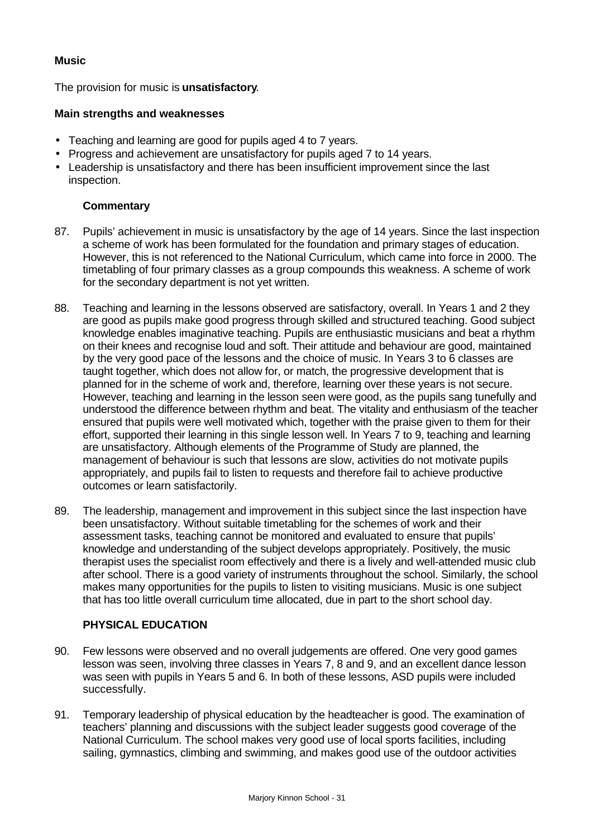### **Music**

The provision for music is **unsatisfactory**.

#### **Main strengths and weaknesses**

- Teaching and learning are good for pupils aged 4 to 7 years.
- Progress and achievement are unsatisfactory for pupils aged 7 to 14 years.
- Leadership is unsatisfactory and there has been insufficient improvement since the last inspection.

### **Commentary**

- 87. Pupils' achievement in music is unsatisfactory by the age of 14 years. Since the last inspection a scheme of work has been formulated for the foundation and primary stages of education. However, this is not referenced to the National Curriculum, which came into force in 2000. The timetabling of four primary classes as a group compounds this weakness. A scheme of work for the secondary department is not yet written.
- 88. Teaching and learning in the lessons observed are satisfactory, overall. In Years 1 and 2 they are good as pupils make good progress through skilled and structured teaching. Good subject knowledge enables imaginative teaching. Pupils are enthusiastic musicians and beat a rhythm on their knees and recognise loud and soft. Their attitude and behaviour are good, maintained by the very good pace of the lessons and the choice of music. In Years 3 to 6 classes are taught together, which does not allow for, or match, the progressive development that is planned for in the scheme of work and, therefore, learning over these years is not secure. However, teaching and learning in the lesson seen were good, as the pupils sang tunefully and understood the difference between rhythm and beat. The vitality and enthusiasm of the teacher ensured that pupils were well motivated which, together with the praise given to them for their effort, supported their learning in this single lesson well. In Years 7 to 9, teaching and learning are unsatisfactory. Although elements of the Programme of Study are planned, the management of behaviour is such that lessons are slow, activities do not motivate pupils appropriately, and pupils fail to listen to requests and therefore fail to achieve productive outcomes or learn satisfactorily.
- 89. The leadership, management and improvement in this subject since the last inspection have been unsatisfactory. Without suitable timetabling for the schemes of work and their assessment tasks, teaching cannot be monitored and evaluated to ensure that pupils' knowledge and understanding of the subject develops appropriately. Positively, the music therapist uses the specialist room effectively and there is a lively and well-attended music club after school. There is a good variety of instruments throughout the school. Similarly, the school makes many opportunities for the pupils to listen to visiting musicians. Music is one subject that has too little overall curriculum time allocated, due in part to the short school day.

# **PHYSICAL EDUCATION**

- 90. Few lessons were observed and no overall judgements are offered. One very good games lesson was seen, involving three classes in Years 7, 8 and 9, and an excellent dance lesson was seen with pupils in Years 5 and 6. In both of these lessons, ASD pupils were included successfully.
- 91. Temporary leadership of physical education by the headteacher is good. The examination of teachers' planning and discussions with the subject leader suggests good coverage of the National Curriculum. The school makes very good use of local sports facilities, including sailing, gymnastics, climbing and swimming, and makes good use of the outdoor activities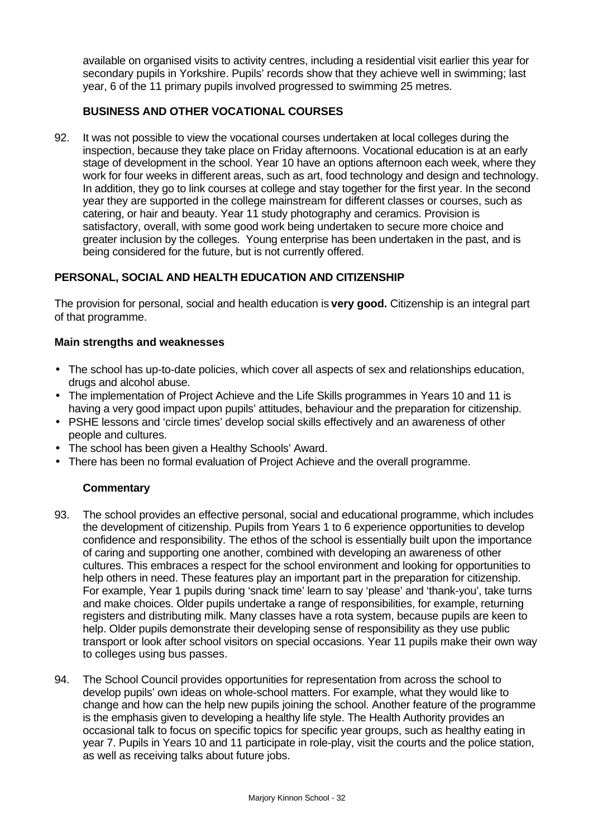available on organised visits to activity centres, including a residential visit earlier this year for secondary pupils in Yorkshire. Pupils' records show that they achieve well in swimming; last year, 6 of the 11 primary pupils involved progressed to swimming 25 metres.

# **BUSINESS AND OTHER VOCATIONAL COURSES**

92. It was not possible to view the vocational courses undertaken at local colleges during the inspection, because they take place on Friday afternoons. Vocational education is at an early stage of development in the school. Year 10 have an options afternoon each week, where they work for four weeks in different areas, such as art, food technology and design and technology. In addition, they go to link courses at college and stay together for the first year. In the second year they are supported in the college mainstream for different classes or courses, such as catering, or hair and beauty. Year 11 study photography and ceramics. Provision is satisfactory, overall, with some good work being undertaken to secure more choice and greater inclusion by the colleges. Young enterprise has been undertaken in the past, and is being considered for the future, but is not currently offered.

# **PERSONAL, SOCIAL AND HEALTH EDUCATION AND CITIZENSHIP**

The provision for personal, social and health education is **very good.** Citizenship is an integral part of that programme.

### **Main strengths and weaknesses**

- The school has up-to-date policies, which cover all aspects of sex and relationships education, drugs and alcohol abuse.
- The implementation of Project Achieve and the Life Skills programmes in Years 10 and 11 is having a very good impact upon pupils' attitudes, behaviour and the preparation for citizenship.
- PSHE lessons and 'circle times' develop social skills effectively and an awareness of other people and cultures.
- The school has been given a Healthy Schools' Award.
- There has been no formal evaluation of Project Achieve and the overall programme.

- 93. The school provides an effective personal, social and educational programme, which includes the development of citizenship. Pupils from Years 1 to 6 experience opportunities to develop confidence and responsibility. The ethos of the school is essentially built upon the importance of caring and supporting one another, combined with developing an awareness of other cultures. This embraces a respect for the school environment and looking for opportunities to help others in need. These features play an important part in the preparation for citizenship. For example, Year 1 pupils during 'snack time' learn to say 'please' and 'thank-you', take turns and make choices. Older pupils undertake a range of responsibilities, for example, returning registers and distributing milk. Many classes have a rota system, because pupils are keen to help. Older pupils demonstrate their developing sense of responsibility as they use public transport or look after school visitors on special occasions. Year 11 pupils make their own way to colleges using bus passes.
- 94. The School Council provides opportunities for representation from across the school to develop pupils' own ideas on whole-school matters. For example, what they would like to change and how can the help new pupils joining the school. Another feature of the programme is the emphasis given to developing a healthy life style. The Health Authority provides an occasional talk to focus on specific topics for specific year groups, such as healthy eating in year 7. Pupils in Years 10 and 11 participate in role-play, visit the courts and the police station, as well as receiving talks about future jobs.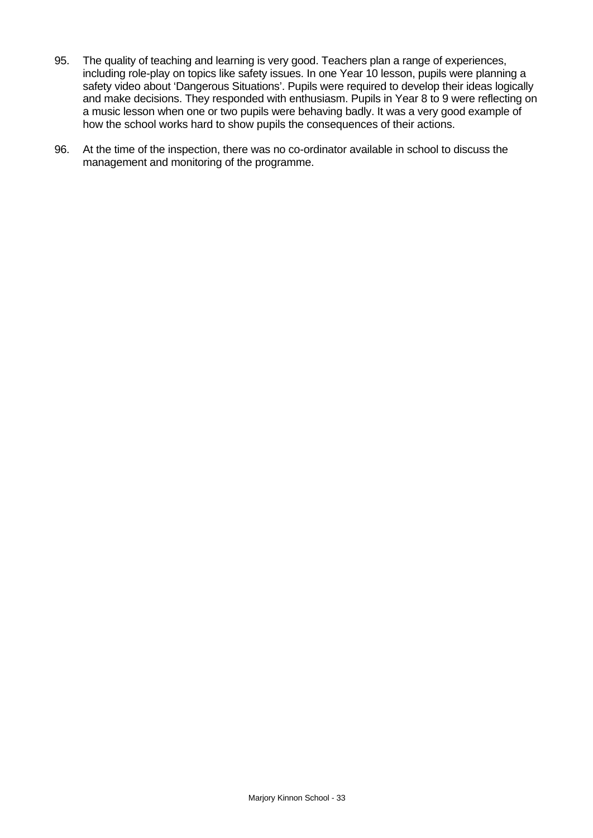- 95. The quality of teaching and learning is very good. Teachers plan a range of experiences, including role-play on topics like safety issues. In one Year 10 lesson, pupils were planning a safety video about 'Dangerous Situations'. Pupils were required to develop their ideas logically and make decisions. They responded with enthusiasm. Pupils in Year 8 to 9 were reflecting on a music lesson when one or two pupils were behaving badly. It was a very good example of how the school works hard to show pupils the consequences of their actions.
- 96. At the time of the inspection, there was no co-ordinator available in school to discuss the management and monitoring of the programme.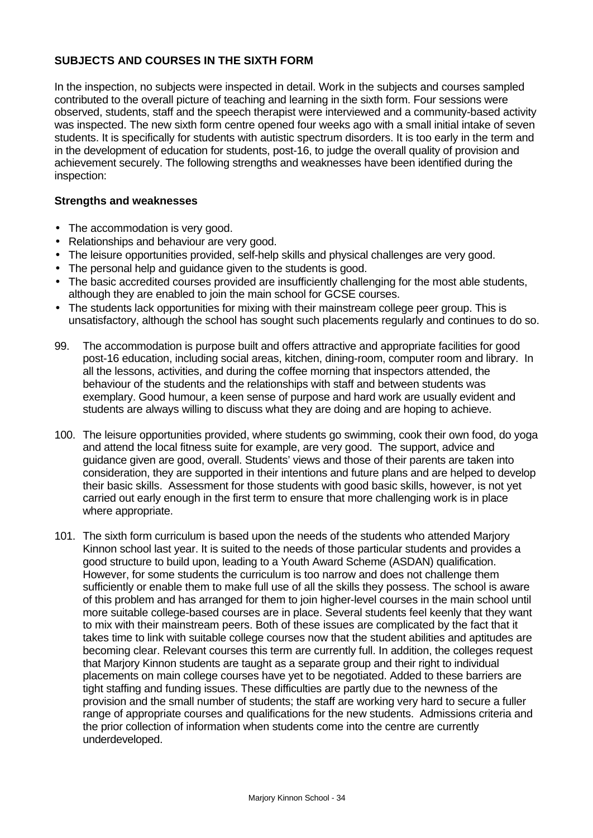# **SUBJECTS AND COURSES IN THE SIXTH FORM**

In the inspection, no subjects were inspected in detail. Work in the subjects and courses sampled contributed to the overall picture of teaching and learning in the sixth form. Four sessions were observed, students, staff and the speech therapist were interviewed and a community-based activity was inspected. The new sixth form centre opened four weeks ago with a small initial intake of seven students. It is specifically for students with autistic spectrum disorders. It is too early in the term and in the development of education for students, post-16, to judge the overall quality of provision and achievement securely. The following strengths and weaknesses have been identified during the inspection:

#### **Strengths and weaknesses**

- The accommodation is very good.
- Relationships and behaviour are very good.
- The leisure opportunities provided, self-help skills and physical challenges are very good.
- The personal help and guidance given to the students is good.
- The basic accredited courses provided are insufficiently challenging for the most able students, although they are enabled to join the main school for GCSE courses.
- The students lack opportunities for mixing with their mainstream college peer group. This is unsatisfactory, although the school has sought such placements regularly and continues to do so.
- 99. The accommodation is purpose built and offers attractive and appropriate facilities for good post-16 education, including social areas, kitchen, dining-room, computer room and library. In all the lessons, activities, and during the coffee morning that inspectors attended, the behaviour of the students and the relationships with staff and between students was exemplary. Good humour, a keen sense of purpose and hard work are usually evident and students are always willing to discuss what they are doing and are hoping to achieve.
- 100. The leisure opportunities provided, where students go swimming, cook their own food, do yoga and attend the local fitness suite for example, are very good. The support, advice and guidance given are good, overall. Students' views and those of their parents are taken into consideration, they are supported in their intentions and future plans and are helped to develop their basic skills. Assessment for those students with good basic skills, however, is not yet carried out early enough in the first term to ensure that more challenging work is in place where appropriate.
- 101. The sixth form curriculum is based upon the needs of the students who attended Marjory Kinnon school last year. It is suited to the needs of those particular students and provides a good structure to build upon, leading to a Youth Award Scheme (ASDAN) qualification. However, for some students the curriculum is too narrow and does not challenge them sufficiently or enable them to make full use of all the skills they possess. The school is aware of this problem and has arranged for them to join higher-level courses in the main school until more suitable college-based courses are in place. Several students feel keenly that they want to mix with their mainstream peers. Both of these issues are complicated by the fact that it takes time to link with suitable college courses now that the student abilities and aptitudes are becoming clear. Relevant courses this term are currently full. In addition, the colleges request that Marjory Kinnon students are taught as a separate group and their right to individual placements on main college courses have yet to be negotiated. Added to these barriers are tight staffing and funding issues. These difficulties are partly due to the newness of the provision and the small number of students; the staff are working very hard to secure a fuller range of appropriate courses and qualifications for the new students. Admissions criteria and the prior collection of information when students come into the centre are currently underdeveloped.